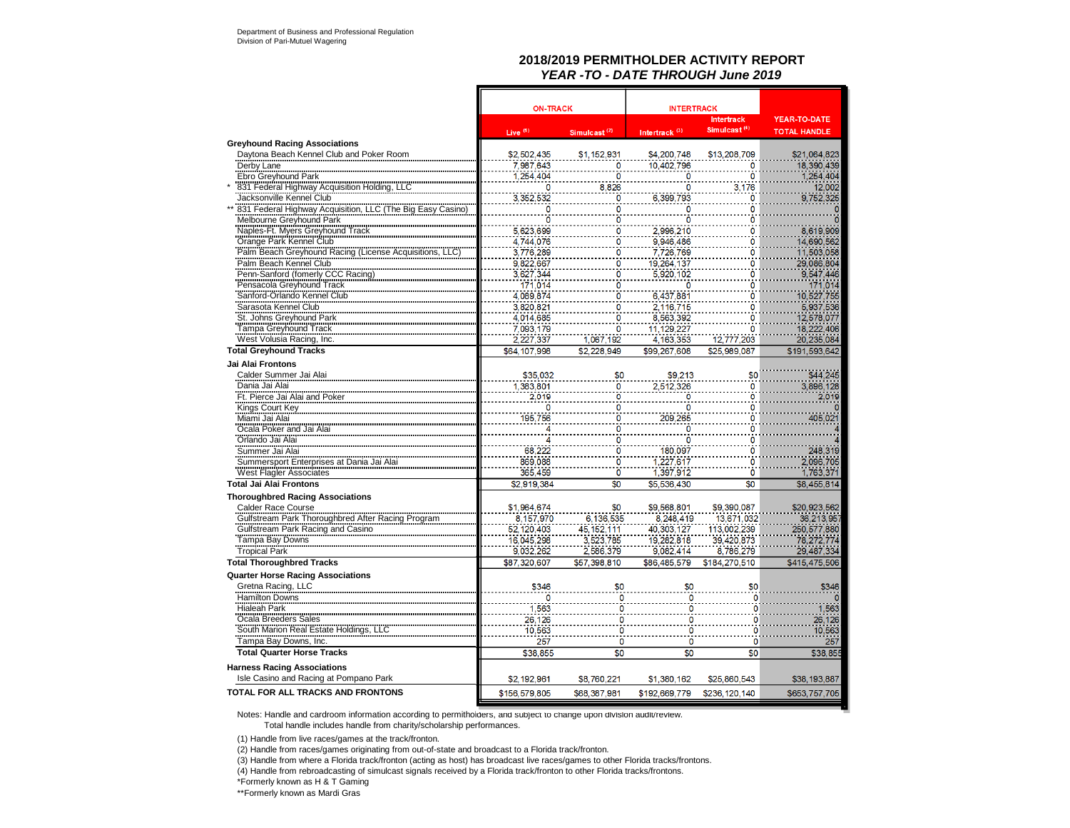## **2018/2019 PERMITHOLDER ACTIVITY REPORT***YEAR -TO - DATE THROUGH June 2019*

|                                                                                                                                                                     | <b>ON-TRACK</b>        |                                      | <b>INTERTRACK</b>          |                               |                          |
|---------------------------------------------------------------------------------------------------------------------------------------------------------------------|------------------------|--------------------------------------|----------------------------|-------------------------------|--------------------------|
|                                                                                                                                                                     |                        |                                      |                            | <b>Intertrack</b>             | <b>YEAR-TO-DATE</b>      |
|                                                                                                                                                                     | Live <sup>(1)</sup>    | Simulcast <sup>(2)</sup>             | Intertrack <sup>(3)</sup>  | Simulcast <sup>(4)</sup>      | <b>TOTAL HANDLE</b>      |
| <b>Greyhound Racing Associations</b>                                                                                                                                |                        |                                      |                            |                               |                          |
| Daytona Beach Kennel Club and Poker Room                                                                                                                            | \$2,502,435            | \$1,152,931                          | \$4,200,748                | \$13,208,709                  | \$21,064,823             |
| Derby Lane                                                                                                                                                          | 7,987,643              | 0                                    | 10,402,796                 | 0                             | 18,390,439               |
| Ebro Greyhound Park                                                                                                                                                 | 1,254,404              | 0                                    |                            | 0                             | 1,254,404                |
| 831 Federal Highway Acquisition Holding,                                                                                                                            | 0                      | 8,826                                | O                          | 3.176                         | 12,002                   |
| Jacksonville Kennel Club                                                                                                                                            | 3,352,532              | ö                                    | 6,399,793                  | 0                             | 9,752,325                |
| 831 Federal Highway Acquisition, LLC (The Big Easy Casino)                                                                                                          | 0<br>O                 | 0<br>ö                               | 0<br>Ō                     | $\overline{0}$<br>$\mathbf 0$ |                          |
| Melbourne Greyhound Park                                                                                                                                            |                        |                                      |                            |                               |                          |
| Webburner Original Track<br>Track Crange Park Kennel Club<br>Palm Beach Greyhound Racing (License Acquisitions,<br>Palm Beach Kennel Club<br>Palm Beach Kennel Club | 5,623,699<br>4,744,076 | 0<br>ö                               | 2,996,210                  | O<br>Ō                        | 8,619,909<br>14,690,562  |
|                                                                                                                                                                     |                        | ö                                    | 9,946,486<br>7,726,769     | $\bullet$                     | 11,503,058               |
|                                                                                                                                                                     | 3,776,289<br>9,822,667 |                                      |                            |                               |                          |
| Penn-Sanford (fomerly CCC Racing)                                                                                                                                   | 3,627,344              | Ö<br>ö                               | 19,264,137<br>5,920,102    | 0<br>Ō                        | 29,086,804<br>9,547,446  |
| Pensacola Greyhound Track                                                                                                                                           |                        | ö                                    | 0                          | $\mathbf{O}$                  | 171.014                  |
| Sanford-Orlando Kennel Club                                                                                                                                         | 171,014<br>4,089,874   | ō                                    | 6,437,881                  | Ō                             | 10,527,755               |
| Sarasota Kennel Club                                                                                                                                                |                        | ö                                    |                            | ö                             |                          |
|                                                                                                                                                                     | 3,820,821              | Ò                                    | 2,116,715                  |                               | 5,937,536                |
| St. Johns Greyhound Park<br>Tampa Greyhound Track                                                                                                                   | 4.014.685              |                                      | 8.563,392                  | 0                             | 12,578,077               |
|                                                                                                                                                                     | 7.093.179<br>2,227,337 | 0<br>1,067,192                       | 11,129,227<br>4.163.353    | 0<br>12,777,203               | 18,222,406<br>20,235,084 |
| West Volusia Racing, Inc.                                                                                                                                           |                        |                                      |                            |                               | \$191.593.642            |
| <b>Total Greyhound Tracks</b>                                                                                                                                       | \$64,107,998           | \$2.228.949                          | \$99,267,608               | \$25,989,087                  |                          |
| Jai Alai Frontons                                                                                                                                                   |                        |                                      |                            |                               |                          |
| Calder Summer Jai Alai                                                                                                                                              | \$35,032               | \$0                                  | \$9,213                    | \$0                           | \$44,245                 |
| Dania Jai Alai<br>Ft. Pierce Jai Alai and Poker                                                                                                                     | 1.383.801              | $\mathbf 0$                          | 2,512,326                  | 0                             | 3,896,128                |
|                                                                                                                                                                     | 2,019                  | ö                                    | 0                          | ö<br>$\mathbf 0$              | 2,019                    |
| Kings Court Key<br>Kings Court Key<br>Miami Jai Alai                                                                                                                | 0<br>195,756           | 0<br>O                               | 0<br>209,265               | Ō                             | 405,021                  |
| Ocala Poker and Jai Alai                                                                                                                                            |                        | 0                                    |                            | Ō                             |                          |
| Orlando Jai Alai                                                                                                                                                    |                        | 0                                    | 0                          | 0                             |                          |
|                                                                                                                                                                     | 68,222                 |                                      | 0<br>180.097               | $\mathbf 0$                   | 248,319                  |
| Summer Jai Alai<br>Summersport Enterprises at Dania Jai Alai                                                                                                        | 869.088                | $\frac{0}{0}$                        | 1,227,617                  | $\overline{0}$                | 2,096,705                |
|                                                                                                                                                                     | 365.459                | ö                                    | 1,397,912                  | 0                             | 1,763,371                |
| <b>West Flagler Associates</b><br><b>Total Jai Alai Frontons</b>                                                                                                    | \$2,919,384            | \$0                                  | \$5,536,430                | \$0                           | \$8,455,814              |
| <b>Thoroughbred Racing Associations</b>                                                                                                                             |                        |                                      |                            |                               |                          |
| Calder Race Course                                                                                                                                                  | \$1,964,674            | \$0                                  | \$9,568,801                | \$9,390,087                   | \$20,923,562             |
|                                                                                                                                                                     | 8.157.970              | 6,136,535                            | 8,248,419                  | 13.671.032                    | 36,213,957               |
| Gulfstream Park Thoroughbred After Racing Program<br>Gulfstream Park Racing and Casino                                                                              | 52, 120, 403           | 45, 152, 111                         | 40,303,127                 | 113,002,239                   | 250, 577, 880            |
| Tampa Bay Downs                                                                                                                                                     | 16,045,298             | 3,523,785                            | 19,282,818                 | 39,420,873                    | 78,272,774               |
| <b>Tropical Park</b>                                                                                                                                                | 9.032.262              | 2,586,379                            | 9,082,414                  | 8,786,279                     | 29,487,334               |
| <b>Total Thoroughbred Tracks</b>                                                                                                                                    | \$87.320.607           | \$57,398,810                         | \$86,485,579               | \$184,270.510                 | \$415,475,506            |
| <b>Quarter Horse Racing Associations</b>                                                                                                                            |                        |                                      |                            |                               |                          |
|                                                                                                                                                                     | \$346                  | \$0                                  | \$0                        | \$0                           |                          |
| Gretna Racing, LLC<br>Hamilton Downs                                                                                                                                |                        |                                      |                            |                               | \$346                    |
| Hialeah Park                                                                                                                                                        | 0<br>1.563             | $\mathbf 0$<br>$\frac{1}{0}$         | 0                          | $\mathbf 0$                   |                          |
| Ocala Breeders Sales                                                                                                                                                |                        | Ö                                    | $\overline{\mathbf{0}}$    | $\overline{\mathbf{0}}$       | 1,563                    |
|                                                                                                                                                                     | 26,126                 |                                      | $\mathbf 0$                | 0                             | 26,126<br>10.563         |
| South Marion Real Estate Holdings, LLC<br>Tampa Bay Downs, Inc.                                                                                                     | 10.563                 | $\ddot{\mathbf{0}}$<br>$\frac{1}{0}$ | $\mathbf 0$<br>$\mathbf 0$ | $\bf{0}$<br>$\mathbf{0}$      |                          |
|                                                                                                                                                                     | 257                    |                                      |                            |                               | 257                      |
| <b>Total Quarter Horse Tracks</b>                                                                                                                                   | \$38,855               | \$0                                  | \$0                        | \$0                           | \$38,855                 |
| <b>Harness Racing Associations</b>                                                                                                                                  |                        |                                      |                            |                               |                          |
| Isle Casino and Racing at Pompano Park                                                                                                                              | \$2,192,961            | \$8,760.221                          | \$1,380,162                | \$25,860,543                  | \$38,193,887             |
| TOTAL FOR ALL TRACKS AND FRONTONS                                                                                                                                   | \$156,579.805          | \$68,387.981                         | \$192,669,779              | \$236, 120, 140               | \$653,757,705            |

Notes: Handle and cardroom information according to permitholders, and subject to change upon division audit/review.

Total handle includes handle from charity/scholarship performances.

(1) Handle from live races/games at the track/fronton.

(2) Handle from races/games originating from out-of-state and broadcast to a Florida track/fronton.

(3) Handle from where a Florida track/fronton (acting as host) has broadcast live races/games to other Florida tracks/frontons.

(4) Handle from rebroadcasting of simulcast signals received by a Florida track/fronton to other Florida tracks/frontons.

\*Formerly known as H & T Gaming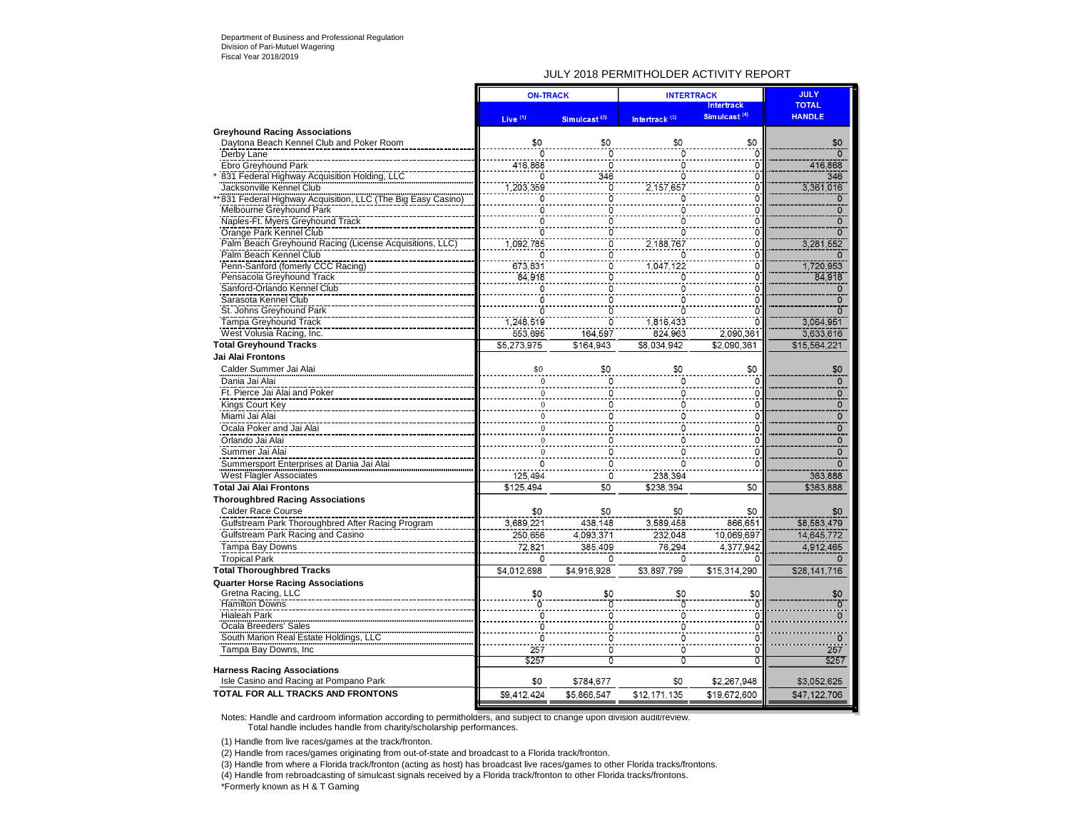### JULY 2018 PERMITHOLDER ACTIVITY REPORT

|                                                                                          | <b>ON-TRACK</b>     |                          | <b>INTERTRACK</b>                | <b>JULY</b>              |                               |
|------------------------------------------------------------------------------------------|---------------------|--------------------------|----------------------------------|--------------------------|-------------------------------|
|                                                                                          |                     |                          |                                  | <b>Intertrack</b>        | <b>TOTAL</b><br><b>HANDLE</b> |
|                                                                                          | Live <sup>(1)</sup> | Simulcast <sup>(2)</sup> | Intertrack <sup>(3)</sup>        | Simulcast <sup>(4)</sup> |                               |
| <b>Greyhound Racing Associations</b>                                                     |                     |                          |                                  |                          |                               |
| Daytona Beach Kennel Club and Poker Room                                                 | \$0<br>ö            | \$0<br>ö                 | \$0                              | \$0<br>ö                 | \$0<br>'n                     |
| Derby Lane                                                                               |                     | $\overline{0}$           | Ō                                |                          |                               |
| <b>Ebro Greyhound Park</b>                                                               | 416,868<br>n        | 346                      | 0<br>ō                           | $\bf{0}$                 | 416,868                       |
| 831 Federal Highway Acquisition Holding, LLC                                             | 1,203,359           | ö                        | 2,157,657                        | ō<br>$\overline{0}$      | 346<br>3,361,016              |
| Jacksonville Kennel Club<br>* 831 Federal Highway Acquisition, LLC (The Big Easy Casino) | Ö                   | ò                        | Ö                                | $\overline{0}$           | ō                             |
| Melbourne Greyhound Park                                                                 | 0                   | ö                        | 0                                | $\overline{0}$           | $\overline{0}$                |
| Naples-Ft. Myers Greyhound Track                                                         | 0                   | $\Omega$                 | n                                | $\Omega$                 | $\overline{0}$                |
| Orange Park Kennel Club                                                                  | ö                   | ö                        | n                                | ö                        | ក                             |
| Palm Beach Greyhound Racing (License Acquisitions, LLC)                                  | 1,092,785           | 'n                       | 2,188,767                        | 0                        | 3,281,552                     |
| Palm Beach Kennel Club                                                                   | 0                   | ö                        | 0                                | 0                        |                               |
| Penn-Sanford (fomerly CCC Racing)                                                        | 673.831             | Ō                        | 1,047,122                        | ö                        | 1,720,953                     |
| Pensacola Greyhound Track                                                                | 84.918              | $\ddot{\mathbf{0}}$      | ö                                | $\overline{0}$           | 84,918                        |
| Sanford-Orlando Kennel Club                                                              | Ö                   | ö                        | 0                                | $\overline{0}$           | $\overline{0}$                |
| Sarasota Kennel Club                                                                     | 0                   | 0                        |                                  | Ō                        | $\overline{0}$                |
| St. Johns Greyhound Park                                                                 | ö                   | ö                        |                                  | $\ddot{\mathbf{0}}$      | ō                             |
| <b>Tampa Greyhound Track</b>                                                             | 1,248,519           | ö                        | 1,816,433                        | ō                        | 3,064,951                     |
| West Volusia Racing, Inc.                                                                | 553.695             | 164,597                  | 824,963                          | 2.090.361                | 3.633.616                     |
| <b>Total Greyhound Tracks</b>                                                            | \$5,273,975         | \$164.943                | \$8,034,942                      | \$2.090.361              | \$15,564,221                  |
| <b>Jai Alai Frontons</b>                                                                 |                     |                          |                                  |                          |                               |
| Calder Summer Jai Alai                                                                   | \$0                 | \$0                      | \$0                              | \$0                      | \$0                           |
| Dania Jai Alai                                                                           |                     | 0                        |                                  | $\mathbf 0$              | $\overline{0}$                |
| Ft. Pierce Jai Alai and Poker                                                            |                     | 0                        |                                  | $\mathbf 0$              | $\overline{0}$                |
| Kings Court Key                                                                          |                     | Ω                        | O                                | 0                        | $\overline{0}$                |
| Miami Jai Alai                                                                           | $\Omega$            | 0                        | n                                | $\mathbf 0$              | $\overline{0}$                |
| Ocala Poker and Jai Alai                                                                 | $\mathbf{0}$        | 0                        | n                                | $\mathbf{0}$             | $\overline{0}$                |
| Orlando Jai Alai                                                                         |                     | 0                        | 0                                | 0                        | $\overline{0}$                |
| Summer Jai Alai                                                                          |                     | O                        |                                  | 0                        | $\Omega$                      |
| Summersport Enterprises at Dania Jai Alai                                                |                     | 0                        |                                  | $\mathbf 0$              | $\overline{0}$                |
|                                                                                          | 125,494             | O                        | 238,394                          |                          | 363,888                       |
| <b>West Flagler Associates</b><br><b>Total Jai Alai Frontons</b>                         | \$125,494           | \$0                      | \$238,394                        | $\overline{50}$          | \$363,888                     |
|                                                                                          |                     |                          |                                  |                          |                               |
| <b>Thoroughbred Racing Associations</b>                                                  |                     |                          |                                  |                          |                               |
| <b>Calder Race Course</b>                                                                | \$0<br>3,689,221    | \$0                      | \$0<br>3.589.458                 | \$0<br>866.651           |                               |
| Gulfstream Park Thoroughbred After Racing Program                                        |                     | 438,148                  |                                  |                          | \$8,583,479                   |
| Gulfstream Park Racing and Casino                                                        | 250,656             | 4,093,371                | 232,048                          | 10,069,697               | 14,645,772                    |
| Tampa Bay Downs                                                                          | 72,821              | 385.409                  | 76,294                           | 4.377.942                | 4,912,465                     |
| <b>Tropical Park</b>                                                                     | 0                   | $\Omega$                 | $\Omega$                         | n                        | $\Omega$                      |
| <b>Total Thoroughbred Tracks</b>                                                         | \$4,012,698         | \$4.916.928              | \$3,897.799                      | \$15,314,290             | \$28,141,716                  |
| <b>Quarter Horse Racing Associations</b>                                                 |                     |                          |                                  |                          |                               |
| Gretna Racing, LLC                                                                       | \$0                 | \$0                      | \$0                              | \$0                      | \$0                           |
| <b>Hamilton Downs</b>                                                                    | $\mathbf{0}$        | ō                        | $\overline{0}$                   | ö                        | $\overline{0}$                |
| <b>Hialeah Park</b>                                                                      | $\frac{0}{0}$       | 0<br>$\overline{0}$      | 0<br>ö                           | 0                        | n                             |
| Ocala Breeders' Sales<br>South Marion Real Estate Holdings, LLC                          | $\overline{0}$      | $\overline{\mathbf{0}}$  | $\overline{\mathbf{0}}$          | 0<br>$\overline{0}$      | $\overline{0}$                |
|                                                                                          |                     | $\ddot{\mathbf{0}}$      |                                  | ö                        |                               |
| Tampa Bay Downs, Inc.                                                                    | 257                 | $\overline{\mathbf{0}}$  | $\overline{0}$<br>$\overline{0}$ |                          | 257                           |
| <b>Harness Racing Associations</b>                                                       | \$257               |                          |                                  | $\overline{0}$           | \$257                         |
| Isle Casino and Racing at Pompano Park                                                   | \$0                 | \$784,677                | \$0                              | \$2,267,948              | \$3,052,625                   |
| TOTAL FOR ALL TRACKS AND FRONTONS                                                        | \$9,412,424         | \$5,866,547              | \$12,171,135                     | \$19,672,600             | \$47,122,706                  |
|                                                                                          |                     |                          |                                  |                          |                               |

Notes: Handle and cardroom information according to permitholders, and subject to change upon division audit/review. Total handle includes handle from charity/scholarship performances.

(1) Handle from live races/games at the track/fronton.

(2) Handle from races/games originating from out-of-state and broadcast to a Florida track/fronton.

(3) Handle from where a Florida track/fronton (acting as host) has broadcast live races/games to other Florida tracks/frontons.

(4) Handle from rebroadcasting of simulcast signals received by a Florida track/fronton to other Florida tracks/frontons.

\*Formerly known as H & T Gaming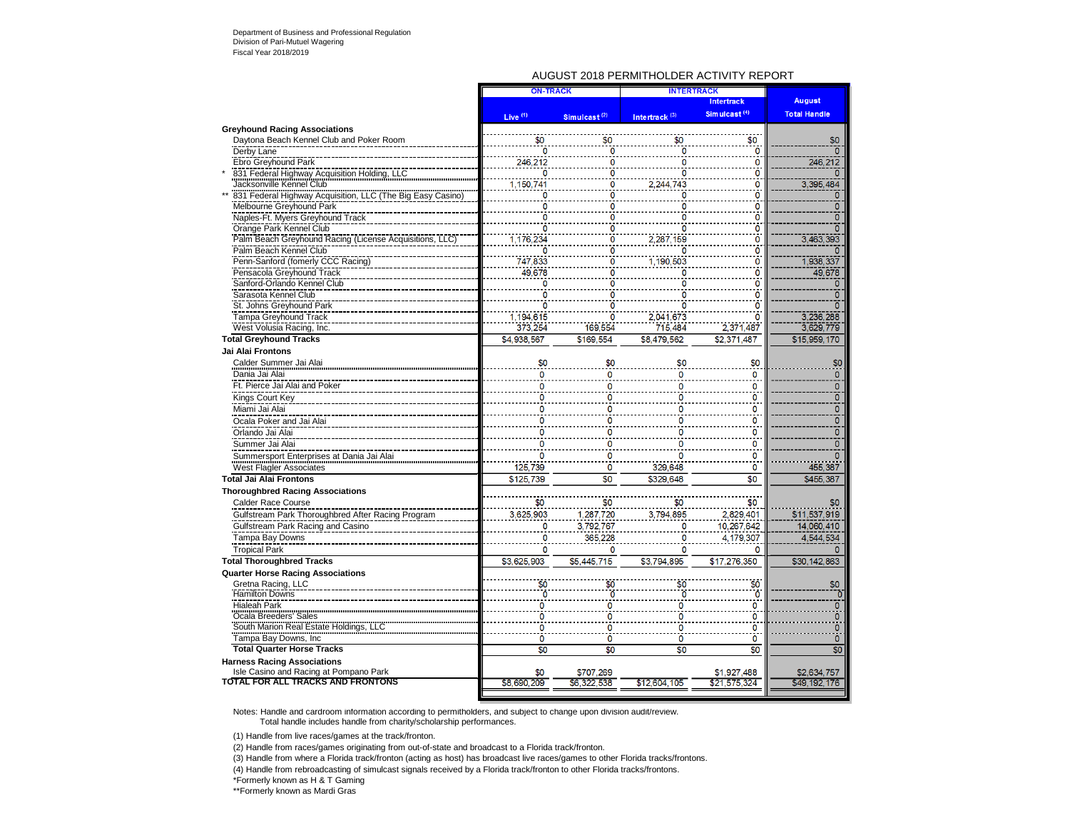### AUGUST 2018 PERMITHOLDER ACTIVITY REPORT

|                                                                             | <b>ON-TRACK</b>     |                          | <b>INTERTRACK</b>         |                          |                             |
|-----------------------------------------------------------------------------|---------------------|--------------------------|---------------------------|--------------------------|-----------------------------|
|                                                                             |                     |                          |                           | <b>Intertrack</b>        | <b>August</b>               |
|                                                                             | Live <sup>(1)</sup> | Simulcast <sup>(2)</sup> | Intertrack <sup>(3)</sup> | Simulcast <sup>(4)</sup> | <b>Total Handle</b>         |
| <b>Greyhound Racing Associations</b>                                        |                     |                          |                           |                          |                             |
| Daytona Beach Kennel Club and Poker Room                                    | \$0                 | \$0                      | \$0                       | \$0                      | \$0                         |
| Derby Lane                                                                  | ō                   | ö                        | n                         | $\overline{0}$           |                             |
| Ebro Greyhound Park                                                         | 246,212             | 0                        | 0                         | 0                        | 246,212                     |
| 831 Federal Highway Acquisition Holding, LLC                                | n                   | O                        | n                         | 0                        |                             |
| Jacksonville Kennel Club                                                    | 1,150,741           | 0                        | 2,244,743                 | 0                        | 3,395,484                   |
| 831 Federal Highway Acquisition, LLC (The Big Easy Casino)                  | O                   | o                        | o                         | $\overline{0}$           | $\overline{0}$              |
| Melbourne Greyhound Park                                                    | 0                   | O                        | n                         | $\overline{0}$           | 0                           |
| Naples-Ft. Myers Greyhound Track                                            | n                   | O                        |                           | ö                        | Ō                           |
| Orange Park Kennel Club                                                     | $\Omega$            | Ō                        | 0                         | $\overline{0}$           | n                           |
| Palm Beach Greyhound Racing (License Acquisitions, LLC                      | 1,176,234           | 0                        | 2,287,159                 | $\mathbf 0$              | 3,463,393                   |
| Palm Beach Kennel Club                                                      |                     | C                        |                           | $\overline{0}$           |                             |
| Penn-Sanford (fomerly CCC Racing)                                           | 747,833             | 0                        | 1,190,503                 | Ō                        | 1.938.337                   |
| Pensacola Greyhound Track                                                   | 49,678              | 0                        | o                         | $\ddot{\mathbf{0}}$      | 49,678                      |
| Sanford-Orlando Kennel Club                                                 | $\Omega$            | C                        | n                         | $\overline{0}$           | 0                           |
| Sarasota Kennel Club                                                        | O                   |                          |                           | $\ddot{\mathbf{0}}$      | $\overline{0}$              |
| St. Johns Greyhound Park                                                    |                     |                          |                           | $\overline{0}$           | 6                           |
| Tampa Greyhound Track                                                       | 1,194,615           | 0                        | 2,041,673                 | ö                        | 3,236,288                   |
| West Volusia Racing, Inc.                                                   | 373.254             | 169.554                  | 715,484                   | 2,371,487                | 3,629,779                   |
| <b>Total Greyhound Tracks</b>                                               | \$4,938,567         | \$169.554                | \$8.479.562               | \$2.371.487              | \$15,959,170                |
| Jai Alai Frontons                                                           |                     |                          |                           |                          |                             |
| Calder Summer Jai Alai                                                      | \$0                 | \$0                      |                           | \$0                      | \$0                         |
| Dania Jai Alai                                                              | $\Omega$            | 0                        | $\Omega$                  | 0                        | $\mathbf{0}$                |
| Ft. Pierce Jai Alai and Poker                                               | 0                   | 0                        | 0                         | 0                        | $\mathbf 0$                 |
| Kings Court Key                                                             | ٥                   | 0                        | 0                         | 0                        | $\overline{0}$              |
| Miami Jai Alai                                                              |                     |                          |                           |                          |                             |
|                                                                             | 0                   | 0                        | 0                         | 0                        | 0<br>ō                      |
| Ocala Poker and Jai Alai                                                    | 0                   | $\bf{0}$                 |                           | $\mathbf 0$              |                             |
| Orlando Jai Alai                                                            | 0                   | 0                        |                           | $\mathbf{0}$             | $\overline{0}$              |
| Summer Jai Alai                                                             | 0                   | n                        |                           | $\mathbf 0$              | $\mathbf{0}$                |
| Summersport Enterprises at Dania Jai Alai                                   | n                   | 0                        | n                         | 0                        | $\mathbf{0}$                |
| <b>West Flagler Associates</b>                                              | 125,739             | 0                        | 329,648                   | 0                        | 455,387                     |
| <b>Total Jai Alai Frontons</b>                                              | \$125,739           | \$0                      | \$329.648                 | \$0                      | \$455,387                   |
| <b>Thoroughbred Racing Associations</b>                                     |                     |                          |                           |                          |                             |
| <b>Calder Race Course</b>                                                   | \$0                 | \$0                      | \$0                       | \$0                      | \$0                         |
| Gulfstream Park Thoroughbred After Racing Program                           | 3.625.903           | 1,287,720                | 3.794.895                 | 2,829,401                | \$11,537,919                |
| Gulfstream Park Racing and Casino                                           | 0                   | 3,792,767                | Λ                         | 10,267,642               | 14.060.410                  |
| Tampa Bay Downs                                                             | 0                   | 365.228                  | 0                         | 4.179.307                | 4.544.534                   |
| <b>Tropical Park</b>                                                        | 0                   | 0                        | 0                         | 0                        | n                           |
| <b>Total Thoroughbred Tracks</b>                                            | \$3,625,903         | \$5,445,715              | \$3,794,895               | \$17,276,350             | \$30,142,863                |
|                                                                             |                     |                          |                           |                          |                             |
| <b>Quarter Horse Racing Associations</b><br>Gretna Racing, LLC              | \$0                 | \$Ć                      |                           | \$0                      | \$0                         |
| <b>Hamilton Downs</b>                                                       | Ō                   | $\overline{0}$           | ō                         | Ō                        | ō                           |
| Hialeah Park                                                                | ٥                   | 0                        |                           | 0                        | $\mathbf{0}$                |
| Ocala Breeders' Sales                                                       | Ō                   | Ō                        | O                         | $\overline{0}$           | $\mathbf 0$                 |
| South Marion Real Estate Holdings, LLC                                      | 0                   | 0                        | 0                         | $\overline{\mathbf{0}}$  | 0                           |
| Tampa Bay Downs, Inc.                                                       | 0                   | 0                        | 0                         | 0                        | $\overline{0}$              |
| <b>Total Quarter Horse Tracks</b>                                           | \$0                 | \$0                      | $\overline{50}$           | \$0                      | \$0                         |
|                                                                             |                     |                          |                           |                          |                             |
| <b>Harness Racing Associations</b>                                          | \$0                 | \$707.269                |                           | \$1.927.488              |                             |
| Isle Casino and Racing at Pompano Park<br>TOTAL FOR ALL TRACKS AND FRONTONS | \$8,690,209         | \$6.322.538              | \$12,604.105              | \$21,575,324             | \$2,634,757<br>\$49,192,176 |
|                                                                             |                     |                          |                           |                          |                             |

Notes: Handle and cardroom information according to permitholders, and subject to change upon division audit/review. Total handle includes handle from charity/scholarship performances.

(1) Handle from live races/games at the track/fronton.

(2) Handle from races/games originating from out-of-state and broadcast to a Florida track/fronton.

(3) Handle from where a Florida track/fronton (acting as host) has broadcast live races/games to other Florida tracks/frontons.

(4) Handle from rebroadcasting of simulcast signals received by a Florida track/fronton to other Florida tracks/frontons.

\*Formerly known as H & T Gaming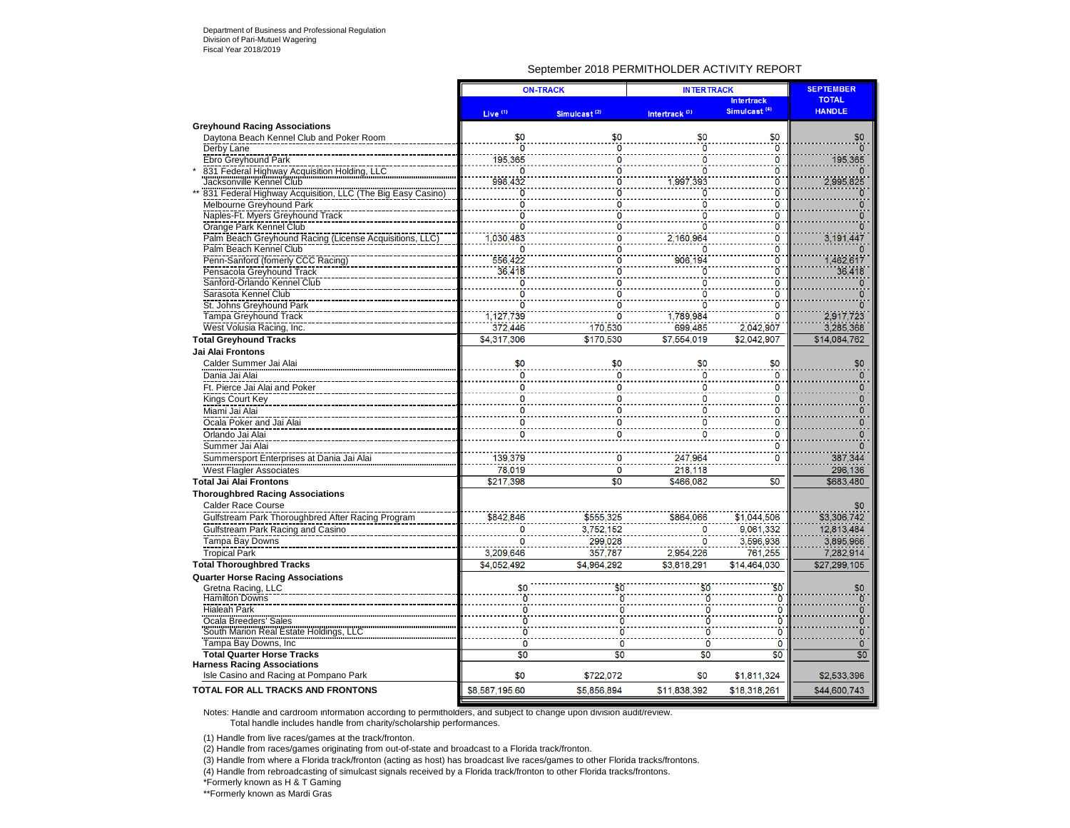### September 2018 PERMITHOLDER ACTIVITY REPORT

| Simulcast <sup>(4)</sup><br><b>HANDLE</b><br>Live <sup>(1)</sup><br>Intertrack <sup>(3)</sup><br>Simulcast <sup>(2)</sup><br><b>Greyhound Racing Associations</b><br>\$0<br>\$0<br>\$0<br>Daytona Beach Kennel Club and Poker Room<br>\$0<br>$\ddot{\mathbf{0}}$<br>$\ddot{\mathbf{0}}$<br>ö<br>ö<br>Derby Lane<br>$\bf{0}$<br>195,365<br><b>Ebro Greyhound Park</b><br>0<br>0<br>$\frac{0}{0}$<br>831 Federal Highway Acquisition Holding, LLC<br>O<br>0<br>0<br>Jacksonville Kennel Club<br>998,432<br>,997,393<br>٥<br>831 Federal Highway Acquisition, LLC (The Big Easy Casino)<br>$\frac{0}{0}$<br>Ö<br>ö<br>ö<br>Melbourne Greyhound Park<br>ö<br>٥<br>0<br>Naples-Ft. Myers Greyhound Track<br>Ō<br>0<br>0<br>O<br>ö<br>ö<br>Orange Park Kennel Club<br>ö<br>0<br>$\overline{\mathbf{0}}$<br>Palm Beach Greyhound Racing (License Acquisitions, LLC)<br>030,483<br>2,160,964<br>٥<br>Palm Beach Kennel Club<br>0<br>0<br>0<br>n<br>$\overline{\mathbf{0}}$<br>906,194<br>556,422<br>1,462,617<br>Penn-Sanford (fomerly CCC Racing)<br>ö<br>$\overline{0}$<br>36,418<br>36,418<br>ó<br>ö<br>Pensacola Greyhound Track<br>$\frac{8}{0}$<br>Sanford-Orlando Kennel Club<br>Ö<br>ö<br>n<br>$\ddot{\mathbf{0}}$<br>Sarasota Kennel Club<br>0<br>0<br>0<br>$\overline{0}$<br>$\overline{0}$<br>St. Johns Greyhound Park<br>ö<br>1.127.739<br>1.789.984<br>ö<br>2.917.723<br>Tampa Greyhound Track<br>372,446<br>3,285,368<br>699.485<br>2,042,907<br>West Volusia Racing, Inc.<br>170.530 | <b>ON-TRACK</b> | <b>INTERTRACK</b> | <b>SEPTEMBER</b>  |                |
|---------------------------------------------------------------------------------------------------------------------------------------------------------------------------------------------------------------------------------------------------------------------------------------------------------------------------------------------------------------------------------------------------------------------------------------------------------------------------------------------------------------------------------------------------------------------------------------------------------------------------------------------------------------------------------------------------------------------------------------------------------------------------------------------------------------------------------------------------------------------------------------------------------------------------------------------------------------------------------------------------------------------------------------------------------------------------------------------------------------------------------------------------------------------------------------------------------------------------------------------------------------------------------------------------------------------------------------------------------------------------------------------------------------------------------------------------------------------------------------------|-----------------|-------------------|-------------------|----------------|
|                                                                                                                                                                                                                                                                                                                                                                                                                                                                                                                                                                                                                                                                                                                                                                                                                                                                                                                                                                                                                                                                                                                                                                                                                                                                                                                                                                                                                                                                                             |                 |                   | <b>Intertrack</b> | <b>TOTAL</b>   |
|                                                                                                                                                                                                                                                                                                                                                                                                                                                                                                                                                                                                                                                                                                                                                                                                                                                                                                                                                                                                                                                                                                                                                                                                                                                                                                                                                                                                                                                                                             |                 |                   |                   |                |
|                                                                                                                                                                                                                                                                                                                                                                                                                                                                                                                                                                                                                                                                                                                                                                                                                                                                                                                                                                                                                                                                                                                                                                                                                                                                                                                                                                                                                                                                                             |                 |                   |                   | \$0            |
|                                                                                                                                                                                                                                                                                                                                                                                                                                                                                                                                                                                                                                                                                                                                                                                                                                                                                                                                                                                                                                                                                                                                                                                                                                                                                                                                                                                                                                                                                             |                 |                   |                   |                |
|                                                                                                                                                                                                                                                                                                                                                                                                                                                                                                                                                                                                                                                                                                                                                                                                                                                                                                                                                                                                                                                                                                                                                                                                                                                                                                                                                                                                                                                                                             |                 |                   |                   | 195,365        |
|                                                                                                                                                                                                                                                                                                                                                                                                                                                                                                                                                                                                                                                                                                                                                                                                                                                                                                                                                                                                                                                                                                                                                                                                                                                                                                                                                                                                                                                                                             |                 |                   |                   |                |
|                                                                                                                                                                                                                                                                                                                                                                                                                                                                                                                                                                                                                                                                                                                                                                                                                                                                                                                                                                                                                                                                                                                                                                                                                                                                                                                                                                                                                                                                                             |                 |                   |                   | 2,995,825      |
|                                                                                                                                                                                                                                                                                                                                                                                                                                                                                                                                                                                                                                                                                                                                                                                                                                                                                                                                                                                                                                                                                                                                                                                                                                                                                                                                                                                                                                                                                             |                 |                   |                   |                |
|                                                                                                                                                                                                                                                                                                                                                                                                                                                                                                                                                                                                                                                                                                                                                                                                                                                                                                                                                                                                                                                                                                                                                                                                                                                                                                                                                                                                                                                                                             |                 |                   |                   | Ω              |
|                                                                                                                                                                                                                                                                                                                                                                                                                                                                                                                                                                                                                                                                                                                                                                                                                                                                                                                                                                                                                                                                                                                                                                                                                                                                                                                                                                                                                                                                                             |                 |                   |                   |                |
|                                                                                                                                                                                                                                                                                                                                                                                                                                                                                                                                                                                                                                                                                                                                                                                                                                                                                                                                                                                                                                                                                                                                                                                                                                                                                                                                                                                                                                                                                             |                 |                   |                   |                |
|                                                                                                                                                                                                                                                                                                                                                                                                                                                                                                                                                                                                                                                                                                                                                                                                                                                                                                                                                                                                                                                                                                                                                                                                                                                                                                                                                                                                                                                                                             |                 |                   |                   | 3,191,447      |
|                                                                                                                                                                                                                                                                                                                                                                                                                                                                                                                                                                                                                                                                                                                                                                                                                                                                                                                                                                                                                                                                                                                                                                                                                                                                                                                                                                                                                                                                                             |                 |                   |                   |                |
|                                                                                                                                                                                                                                                                                                                                                                                                                                                                                                                                                                                                                                                                                                                                                                                                                                                                                                                                                                                                                                                                                                                                                                                                                                                                                                                                                                                                                                                                                             |                 |                   |                   |                |
|                                                                                                                                                                                                                                                                                                                                                                                                                                                                                                                                                                                                                                                                                                                                                                                                                                                                                                                                                                                                                                                                                                                                                                                                                                                                                                                                                                                                                                                                                             |                 |                   |                   |                |
|                                                                                                                                                                                                                                                                                                                                                                                                                                                                                                                                                                                                                                                                                                                                                                                                                                                                                                                                                                                                                                                                                                                                                                                                                                                                                                                                                                                                                                                                                             |                 |                   |                   |                |
|                                                                                                                                                                                                                                                                                                                                                                                                                                                                                                                                                                                                                                                                                                                                                                                                                                                                                                                                                                                                                                                                                                                                                                                                                                                                                                                                                                                                                                                                                             |                 |                   |                   |                |
|                                                                                                                                                                                                                                                                                                                                                                                                                                                                                                                                                                                                                                                                                                                                                                                                                                                                                                                                                                                                                                                                                                                                                                                                                                                                                                                                                                                                                                                                                             |                 |                   |                   |                |
|                                                                                                                                                                                                                                                                                                                                                                                                                                                                                                                                                                                                                                                                                                                                                                                                                                                                                                                                                                                                                                                                                                                                                                                                                                                                                                                                                                                                                                                                                             |                 |                   |                   |                |
|                                                                                                                                                                                                                                                                                                                                                                                                                                                                                                                                                                                                                                                                                                                                                                                                                                                                                                                                                                                                                                                                                                                                                                                                                                                                                                                                                                                                                                                                                             |                 |                   |                   |                |
| \$4,317,306<br>\$170.530<br>\$7,554,019<br>\$2,042,907<br><b>Total Greyhound Tracks</b>                                                                                                                                                                                                                                                                                                                                                                                                                                                                                                                                                                                                                                                                                                                                                                                                                                                                                                                                                                                                                                                                                                                                                                                                                                                                                                                                                                                                     |                 |                   |                   | \$14,084,762   |
| Jai Alai Frontons                                                                                                                                                                                                                                                                                                                                                                                                                                                                                                                                                                                                                                                                                                                                                                                                                                                                                                                                                                                                                                                                                                                                                                                                                                                                                                                                                                                                                                                                           |                 |                   |                   |                |
| \$0<br>Calder Summer Jai Alai<br>\$0<br>\$0<br>\$0                                                                                                                                                                                                                                                                                                                                                                                                                                                                                                                                                                                                                                                                                                                                                                                                                                                                                                                                                                                                                                                                                                                                                                                                                                                                                                                                                                                                                                          |                 |                   |                   | \$0            |
| $\overline{0}$<br>Dania Jai Alai<br>$\mathbf{0}$<br>n<br>0                                                                                                                                                                                                                                                                                                                                                                                                                                                                                                                                                                                                                                                                                                                                                                                                                                                                                                                                                                                                                                                                                                                                                                                                                                                                                                                                                                                                                                  |                 |                   |                   | n              |
| Ft. Pierce Jai Alai and Poker<br>0<br>0<br>0<br>0                                                                                                                                                                                                                                                                                                                                                                                                                                                                                                                                                                                                                                                                                                                                                                                                                                                                                                                                                                                                                                                                                                                                                                                                                                                                                                                                                                                                                                           |                 |                   |                   | n              |
| 0<br>0<br>Kings Court Key<br>0<br>0                                                                                                                                                                                                                                                                                                                                                                                                                                                                                                                                                                                                                                                                                                                                                                                                                                                                                                                                                                                                                                                                                                                                                                                                                                                                                                                                                                                                                                                         |                 |                   |                   | n              |
| Miami Jai Alai<br>0<br>0<br>0<br>O                                                                                                                                                                                                                                                                                                                                                                                                                                                                                                                                                                                                                                                                                                                                                                                                                                                                                                                                                                                                                                                                                                                                                                                                                                                                                                                                                                                                                                                          |                 |                   |                   | o              |
| Ocala Poker and Jai Alai<br>0<br>0<br>0                                                                                                                                                                                                                                                                                                                                                                                                                                                                                                                                                                                                                                                                                                                                                                                                                                                                                                                                                                                                                                                                                                                                                                                                                                                                                                                                                                                                                                                     |                 |                   |                   |                |
| $\overline{0}$<br>$\mathbf 0$<br>Orlando Jai Alai<br>0                                                                                                                                                                                                                                                                                                                                                                                                                                                                                                                                                                                                                                                                                                                                                                                                                                                                                                                                                                                                                                                                                                                                                                                                                                                                                                                                                                                                                                      |                 |                   |                   |                |
| Summer Jai Alai<br>0                                                                                                                                                                                                                                                                                                                                                                                                                                                                                                                                                                                                                                                                                                                                                                                                                                                                                                                                                                                                                                                                                                                                                                                                                                                                                                                                                                                                                                                                        |                 |                   |                   |                |
| Summersport Enterprises at Dania Jai Alai<br>139.379<br>247.964<br>$\mathbf 0$                                                                                                                                                                                                                                                                                                                                                                                                                                                                                                                                                                                                                                                                                                                                                                                                                                                                                                                                                                                                                                                                                                                                                                                                                                                                                                                                                                                                              |                 |                   |                   | 387,344        |
| 78,019<br>218,118<br><b>West Flagler Associates</b><br>0                                                                                                                                                                                                                                                                                                                                                                                                                                                                                                                                                                                                                                                                                                                                                                                                                                                                                                                                                                                                                                                                                                                                                                                                                                                                                                                                                                                                                                    |                 |                   |                   | 296,136        |
| $\overline{50}$<br>\$217.398<br>\$466.082<br>\$0<br><b>Total Jai Alai Frontons</b>                                                                                                                                                                                                                                                                                                                                                                                                                                                                                                                                                                                                                                                                                                                                                                                                                                                                                                                                                                                                                                                                                                                                                                                                                                                                                                                                                                                                          |                 |                   |                   | \$683,480      |
| <b>Thoroughbred Racing Associations</b>                                                                                                                                                                                                                                                                                                                                                                                                                                                                                                                                                                                                                                                                                                                                                                                                                                                                                                                                                                                                                                                                                                                                                                                                                                                                                                                                                                                                                                                     |                 |                   |                   |                |
| <b>Calder Race Course</b>                                                                                                                                                                                                                                                                                                                                                                                                                                                                                                                                                                                                                                                                                                                                                                                                                                                                                                                                                                                                                                                                                                                                                                                                                                                                                                                                                                                                                                                                   |                 |                   |                   | \$0            |
| \$555,325<br>\$864,066<br>\$1,044,506<br>Gulfstream Park Thoroughbred After Racing Program<br>\$842,846                                                                                                                                                                                                                                                                                                                                                                                                                                                                                                                                                                                                                                                                                                                                                                                                                                                                                                                                                                                                                                                                                                                                                                                                                                                                                                                                                                                     |                 |                   |                   | \$3,306,742    |
| 3,752,152<br>9,061,332<br>Gulfstream Park Racing and Casino<br>0<br>0                                                                                                                                                                                                                                                                                                                                                                                                                                                                                                                                                                                                                                                                                                                                                                                                                                                                                                                                                                                                                                                                                                                                                                                                                                                                                                                                                                                                                       |                 |                   |                   | 12.813.484     |
| 3,596,938<br>299,028<br>Tampa Bay Downs<br>0                                                                                                                                                                                                                                                                                                                                                                                                                                                                                                                                                                                                                                                                                                                                                                                                                                                                                                                                                                                                                                                                                                                                                                                                                                                                                                                                                                                                                                                |                 |                   |                   | 3,895,966      |
| <b>Tropical Park</b><br>3.209.646<br>357.787<br>2.954.226<br>761.255                                                                                                                                                                                                                                                                                                                                                                                                                                                                                                                                                                                                                                                                                                                                                                                                                                                                                                                                                                                                                                                                                                                                                                                                                                                                                                                                                                                                                        |                 |                   |                   | 7,282,914      |
| \$4,052,492<br>\$4.964.292<br>\$3,818,291<br>\$14.464.030<br><b>Total Thoroughbred Tracks</b>                                                                                                                                                                                                                                                                                                                                                                                                                                                                                                                                                                                                                                                                                                                                                                                                                                                                                                                                                                                                                                                                                                                                                                                                                                                                                                                                                                                               |                 |                   |                   | \$27.299.105   |
| <b>Quarter Horse Racing Associations</b>                                                                                                                                                                                                                                                                                                                                                                                                                                                                                                                                                                                                                                                                                                                                                                                                                                                                                                                                                                                                                                                                                                                                                                                                                                                                                                                                                                                                                                                    |                 |                   |                   |                |
| \$0<br>\$0<br>Gretna Racing, LLC<br>\$0                                                                                                                                                                                                                                                                                                                                                                                                                                                                                                                                                                                                                                                                                                                                                                                                                                                                                                                                                                                                                                                                                                                                                                                                                                                                                                                                                                                                                                                     |                 |                   |                   | \$0            |
| <b>Hamilton Downs</b><br>$\mathbf{0}$                                                                                                                                                                                                                                                                                                                                                                                                                                                                                                                                                                                                                                                                                                                                                                                                                                                                                                                                                                                                                                                                                                                                                                                                                                                                                                                                                                                                                                                       |                 |                   |                   | $\overline{0}$ |
| <b>Hialeah Park</b><br>$\Omega$                                                                                                                                                                                                                                                                                                                                                                                                                                                                                                                                                                                                                                                                                                                                                                                                                                                                                                                                                                                                                                                                                                                                                                                                                                                                                                                                                                                                                                                             |                 |                   |                   | $\Omega$       |
| $\ddot{\mathbf{0}}$<br>Ocala Breeders' Sales                                                                                                                                                                                                                                                                                                                                                                                                                                                                                                                                                                                                                                                                                                                                                                                                                                                                                                                                                                                                                                                                                                                                                                                                                                                                                                                                                                                                                                                |                 |                   |                   | Ō              |
| South Marion Real Estate Holdings, LLC<br>$\overline{0}$<br>ō<br>ō                                                                                                                                                                                                                                                                                                                                                                                                                                                                                                                                                                                                                                                                                                                                                                                                                                                                                                                                                                                                                                                                                                                                                                                                                                                                                                                                                                                                                          |                 |                   |                   | ö              |
| $\overline{0}$<br>Tampa Bay Downs, Inc.<br>Ö<br>$\mathbf 0$<br>0                                                                                                                                                                                                                                                                                                                                                                                                                                                                                                                                                                                                                                                                                                                                                                                                                                                                                                                                                                                                                                                                                                                                                                                                                                                                                                                                                                                                                            |                 |                   |                   | $\mathbf{0}$   |
| <b>Total Quarter Horse Tracks</b><br>$\overline{50}$<br>$\overline{50}$<br>\$0<br>\$0                                                                                                                                                                                                                                                                                                                                                                                                                                                                                                                                                                                                                                                                                                                                                                                                                                                                                                                                                                                                                                                                                                                                                                                                                                                                                                                                                                                                       |                 |                   |                   | \$0            |
| <b>Harness Racing Associations</b>                                                                                                                                                                                                                                                                                                                                                                                                                                                                                                                                                                                                                                                                                                                                                                                                                                                                                                                                                                                                                                                                                                                                                                                                                                                                                                                                                                                                                                                          |                 |                   |                   |                |
| Isle Casino and Racing at Pompano Park<br>\$0<br>\$0<br>\$722,072<br>\$1,811,324                                                                                                                                                                                                                                                                                                                                                                                                                                                                                                                                                                                                                                                                                                                                                                                                                                                                                                                                                                                                                                                                                                                                                                                                                                                                                                                                                                                                            |                 |                   |                   | \$2,533,396    |
| <b>TOTAL FOR ALL TRACKS AND FRONTONS</b><br>\$8,587,195.60<br>\$5,856,894<br>\$11.838.392<br>\$18,318,261                                                                                                                                                                                                                                                                                                                                                                                                                                                                                                                                                                                                                                                                                                                                                                                                                                                                                                                                                                                                                                                                                                                                                                                                                                                                                                                                                                                   |                 |                   |                   | \$44,600.743   |

Notes: Handle and cardroom information according to permitholders, and subject to change upon division audit/review. Total handle includes handle from charity/scholarship performances.

(1) Handle from live races/games at the track/fronton.

(2) Handle from races/games originating from out-of-state and broadcast to a Florida track/fronton.

(3) Handle from where a Florida track/fronton (acting as host) has broadcast live races/games to other Florida tracks/frontons.

(4) Handle from rebroadcasting of simulcast signals received by a Florida track/fronton to other Florida tracks/frontons.

\*Formerly known as H & T Gaming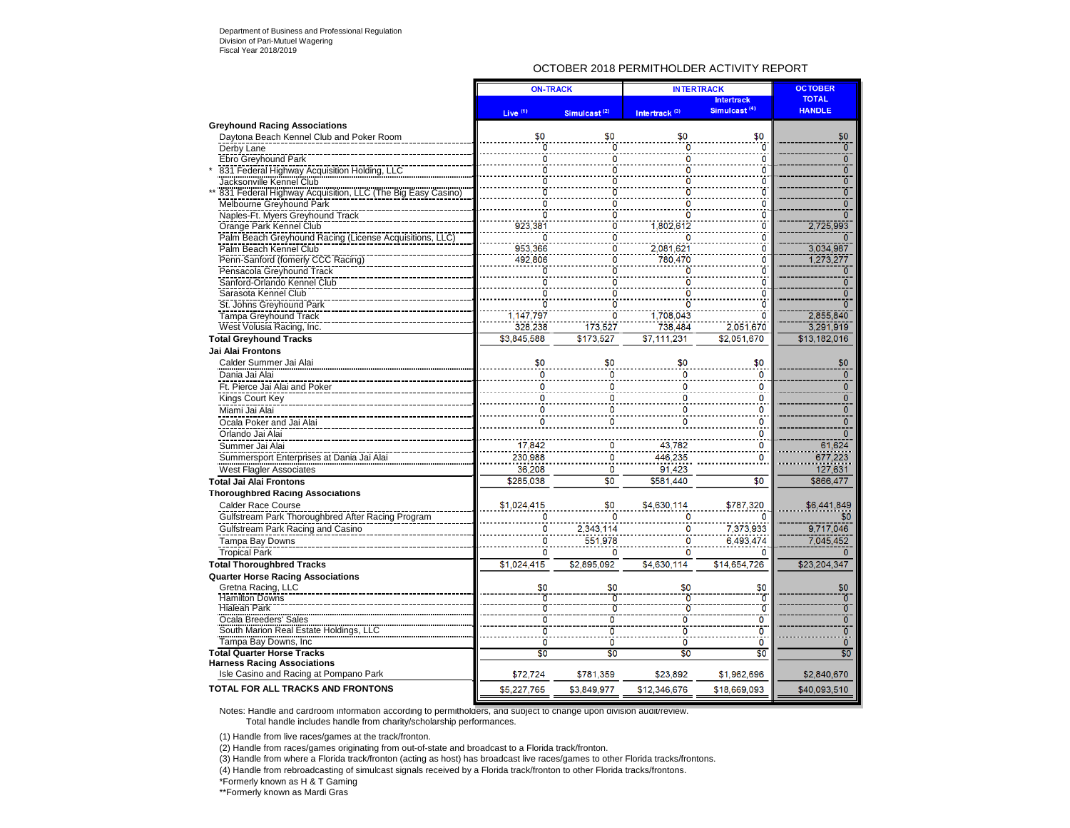### OCTOBER 2018 PERMITHOLDER ACTIVITY REPORT

|                                                            | <b>ON-TRACK</b>     |                                | <b>INTERTRACK</b>         |                          | <b>OCTOBER</b>            |
|------------------------------------------------------------|---------------------|--------------------------------|---------------------------|--------------------------|---------------------------|
|                                                            |                     |                                |                           | <b>Intertrack</b>        | <b>TOTAL</b>              |
|                                                            | Live <sup>(1)</sup> | Simulcast <sup>(2)</sup>       | Intertrack <sup>(3)</sup> | Simulcast <sup>(4)</sup> | <b>HANDLE</b>             |
| <b>Greyhound Racing Associations</b>                       |                     |                                |                           |                          |                           |
| Daytona Beach Kennel Club and Poker Room                   | \$0                 | \$0                            | \$0                       | \$0                      | \$0                       |
| Derby Lane                                                 | n                   | 0                              | Ō                         | ö                        | 0                         |
| Ebro Greyhound Park                                        | O                   | n                              | Ò                         | $\overline{0}$           | $\overline{0}$            |
| 831 Federal Highway Acquisition Holding, LLC               | ö                   | ō                              | Ö                         | ö                        | $\overline{\mathfrak{o}}$ |
| Jacksonville Kennel Club                                   |                     |                                | Ω                         | 0                        | ō                         |
| 831 Federal Highway Acquisition, LLC (The Big Easy Casino) |                     |                                | ñ                         | $\ddot{\mathbf{0}}$      | $\overline{0}$            |
| Melbourne Greyhound Park                                   | ö                   |                                | 0                         | $\overline{0}$           | Ō                         |
| Naples-Ft. Myers Greyhound Track                           | n                   |                                | ō                         | Ö                        | ō                         |
| Orange Park Kennel Club                                    | 923.381             |                                | 1.802.612                 | ö                        | 2,725,993                 |
| Palm Beach Greyhound Racing (License Acquisitions, LLC     |                     | O                              |                           | $\Omega$                 | $\Omega$                  |
| Palm Beach Kennel Club                                     | 953,366             | O                              | 2,081,621                 | ö                        | 3.034.987                 |
| Penn-Sanford (fomerly CCC Racing)                          | 492.806             |                                | 780.470                   | ö                        | 1,273,277                 |
| Pensacola Greyhound Track                                  |                     |                                | ō                         | $\overline{0}$           | $\mathbf{0}$              |
| Sanford-Orlando Kennel Club                                |                     |                                |                           | ö                        | ō                         |
| Sarasota Kennel Club                                       |                     |                                |                           | $\Omega$                 | $\overline{0}$            |
| St. Johns Greyhound Park                                   |                     |                                |                           | $\overline{0}$           | ō                         |
| <b>Tampa Greyhound Track</b>                               | 1,147,797           |                                | 1,708,043                 | $\overline{0}$           | 2,855,840                 |
| West Volusia Racing, Inc.                                  | 328,238             | 173,527                        | 738,484                   | 2,051,670                | 3,291,919                 |
| <b>Total Greyhound Tracks</b>                              | \$3.845.588         | \$173.527                      | \$7.111.231               | \$2.051.670              | \$13.182.016              |
| Jai Alai Frontons                                          |                     |                                |                           |                          |                           |
| Calder Summer Jai Alai                                     | \$0                 | \$0                            | \$0                       | \$0                      | \$0                       |
| Dania Jai Alai                                             | Ō                   | $\mathbf{0}$                   | $\Omega$                  | 0                        | $\overline{\mathfrak{o}}$ |
| Ft. Pierce Jai Alai and Poker                              | 0                   | $\bf{0}$                       | $\Omega$                  | 0                        | $\mathbf 0$               |
| Kings Court Key                                            | 0                   | $\Omega$                       | ٥                         | 0                        | $\Omega$                  |
| Miami Jai Alai                                             | 0                   | $\mathbf 0$                    | ٥                         | 0                        | $\mathbf{0}$              |
| Ocala Poker and Jai Alai                                   | n                   | O                              |                           | $\Omega$                 | $\overline{0}$            |
| Orlando Jai Alai                                           |                     |                                |                           | 0                        | $\Omega$                  |
| Summer Jai Alai                                            | 17,842              | 0                              | 43,782                    | 0                        | 61,624                    |
| Summersport Enterprises at Dania Jai Alai                  | 230.988             | $\ddot{\mathbf{0}}$            | 446.235                   | 0                        | 677,223                   |
|                                                            | 36,208              |                                |                           |                          |                           |
| <b>West Flagler Associates</b>                             |                     | $\mathbf 0$<br>$\overline{50}$ | 91,423                    | \$0                      | 127,631                   |
| <b>Total Jai Alai Frontons</b>                             | \$285.038           |                                | \$581.440                 |                          | \$866.477                 |
| <b>Thoroughbred Racing Associations</b>                    |                     |                                |                           |                          |                           |
| <b>Calder Race Course</b>                                  | \$1,024,415         | \$0                            | \$4,630,114               | \$787,320                | \$6,441,849               |
| Gulfstream Park Thoroughbred After Racing Program          | o                   |                                | 0                         |                          | \$0                       |
| Gulfstream Park Racing and Casino                          | 0                   | 2,343,114                      | 0                         | 7,373,933                | 9,717,046                 |
| <b>Tampa Bay Downs</b>                                     | 0                   | 551,978                        | $\Omega$                  | 6.493.474                | 7.045,452                 |
| <b>Tropical Park</b>                                       | 0                   | 0                              | $\mathbf 0$               | O                        | $\Omega$                  |
| <b>Total Thoroughbred Tracks</b>                           | \$1.024.415         | \$2.895.092                    | \$4.630.114               | \$14.654.726             | \$23.204.347              |
| <b>Quarter Horse Racing Associations</b>                   |                     |                                |                           |                          |                           |
| Gretna Racing, LLC                                         | \$0                 | \$0                            | \$0                       | \$0                      | \$0                       |
| <b>Hamilton Downs</b>                                      |                     |                                | Ò                         | Ō                        | $\overline{0}$            |
| <b>Hialeah Park</b>                                        | ö                   | ō                              | Ò                         | $\overline{0}$           | $\overline{0}$            |
| Ocala Breeders' Sales                                      | ō                   | ō                              | ō                         | Ō                        | $\overline{0}$            |
| South Marion Real Estate Holdings, LLC                     | ö                   | ō                              | ō                         | ō                        | Ō                         |
| Tampa Bay Downs, Inc.                                      | ö                   | $\overline{0}$                 | ö                         | Ō                        | $\overline{0}$            |
| <b>Total Quarter Horse Tracks</b>                          | \$0                 | \$0                            | \$0                       | \$0                      | \$0                       |
| <b>Harness Racing Associations</b>                         |                     |                                |                           |                          |                           |
| Isle Casino and Racing at Pompano Park                     | \$72,724            | \$781,359                      | \$23,892                  | \$1,962,696              | \$2,840,670               |
| TOTAL FOR ALL TRACKS AND FRONTONS                          | \$5,227,765         | \$3.849.977                    | \$12,346,676              | \$18,669,093             | \$40.093.510              |

Notes: Handle and cardroom information according to permitholders, and subject to change upon division audit/review. Total handle includes handle from charity/scholarship performances.

(1) Handle from live races/games at the track/fronton.

(2) Handle from races/games originating from out-of-state and broadcast to a Florida track/fronton.

(3) Handle from where a Florida track/fronton (acting as host) has broadcast live races/games to other Florida tracks/frontons.

(4) Handle from rebroadcasting of simulcast signals received by a Florida track/fronton to other Florida tracks/frontons.

\*Formerly known as H & T Gaming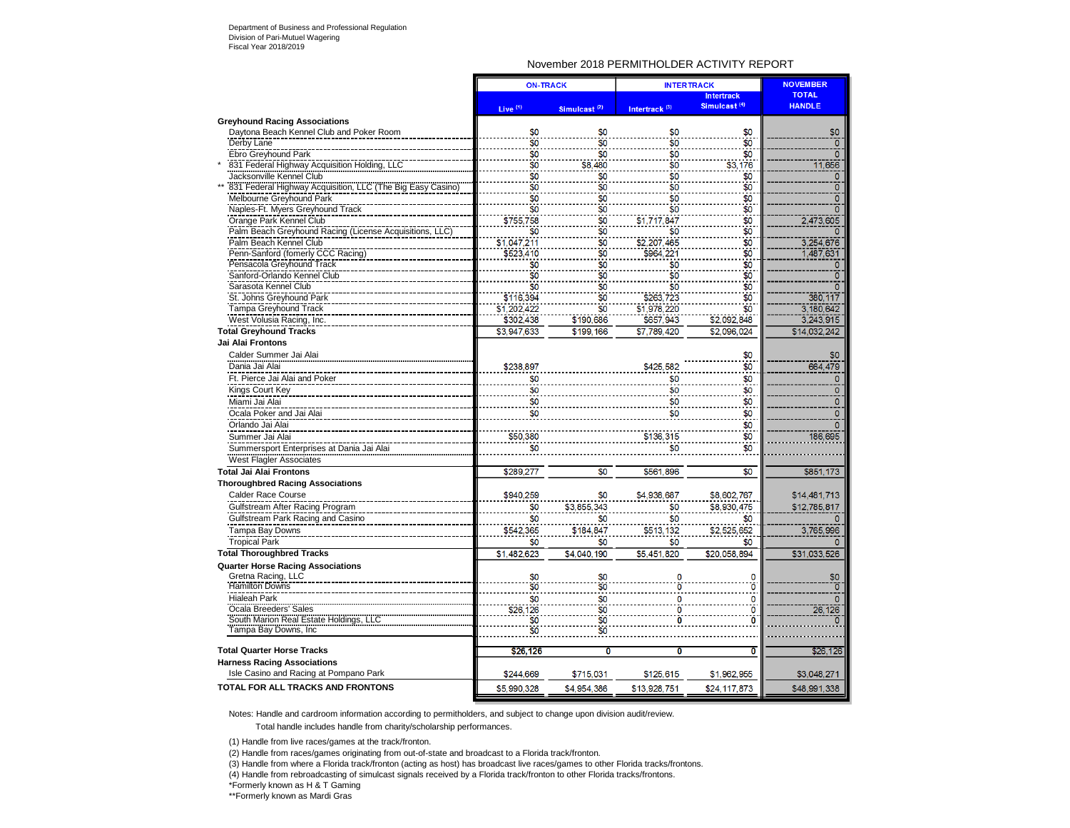### November 2018 PERMITHOLDER ACTIVITY REPORT

|                                                            | <b>ON-TRACK</b> |                          |                           | <b>INTERTRACK</b>        | <b>NOVEMBER</b> |
|------------------------------------------------------------|-----------------|--------------------------|---------------------------|--------------------------|-----------------|
|                                                            |                 |                          |                           | <b>Intertrack</b>        | <b>TOTAL</b>    |
|                                                            | Live $(1)$      | Simulcast <sup>(2)</sup> | Intertrack <sup>(3)</sup> | Simulcast <sup>(4)</sup> | <b>HANDLE</b>   |
| <b>Greyhound Racing Associations</b>                       |                 |                          |                           |                          |                 |
| Daytona Beach Kennel Club and Poker Room                   | \$0             | \$0                      | \$0                       | \$0                      | \$0             |
| Derby Lane                                                 | \$0             | \$0                      | \$0                       | \$0                      | $\Omega$        |
| Ebro Greyhound Park                                        | \$0             | \$0                      | \$0                       | \$0                      | $\mathbf{0}$    |
| 831 Federal Highway Acquisition Holding, LLC               | \$0             | \$8,480                  | \$0                       | \$3,176                  | 11,656          |
| Jacksonville Kennel Club                                   | \$0             | \$0                      | \$0                       | \$0                      | $\mathbf{0}$    |
| 831 Federal Highway Acquisition, LLC (The Big Easy Casino) | \$0             | \$0                      | \$0                       | \$0                      | $\overline{0}$  |
| Melbourne Greyhound Park                                   | \$0             | \$0                      | \$0                       | \$0                      | $\mathbf{0}$    |
| Naples-Ft. Myers Greyhound Track                           | \$0             | \$0                      | \$0                       | \$0                      | $\overline{0}$  |
| Orange Park Kennel Club                                    | \$755,758       | \$0                      | \$1,717,847               | \$0                      | 2,473,605       |
| Palm Beach Greyhound Racing (License Acquisitions, LLC)    | \$0             |                          | \$0                       | \$0                      |                 |
| Palm Beach Kennel Club                                     | \$1,047,211     | \$0<br>\$0               | \$2,207,465               | \$0                      | 3,254,676       |
| Penn-Sanford (fomerly CCC Racing)                          | \$523,410       | \$0                      | \$964,221                 | \$0                      | 1.487.631       |
| Pensacola Greyhound Track                                  | \$0             | \$0                      | \$0                       | \$0                      | $\mathbf{0}$    |
| Sanford-Orlando Kennel Club                                | \$0             | \$0                      | \$0                       | \$0                      | $\overline{0}$  |
| Sarasota Kennel Club                                       | \$0             | \$0                      | \$0                       | $\overline{\$0}$         |                 |
| St. Johns Greyhound Park                                   | \$116,394       | \$0                      | \$263.723                 | \$0                      | 380.117         |
| Tampa Greyhound Track                                      | \$1,202,422     | \$0                      | \$1,978,220               | \$0                      | 3,180,642       |
| West Volusia Racing, Inc.                                  | \$302,438       | \$190,686                | \$657,943                 | \$2,092,848              | 3,243,915       |
| <b>Total Greyhound Tracks</b>                              | \$3,947,633     | \$199.166                | \$7.789.420               | \$2,096,024              | \$14,032,242    |
| Jai Alai Frontons                                          |                 |                          |                           |                          |                 |
| Calder Summer Jai Alai                                     |                 |                          |                           | \$0                      | \$0             |
| Dania Jai Alai                                             | \$238,897       |                          | \$425,582                 | $\frac{1}{50}$           | 664,479         |
|                                                            |                 |                          |                           |                          |                 |
| Ft. Pierce Jai Alai and Poker                              | \$0             |                          | \$0                       | \$0                      | $\Omega$        |
| Kings Court Key                                            | \$0             |                          | \$0                       | \$0                      | $\mathbf 0$     |
| Miami Jai Alai                                             | \$0             |                          | \$0                       | \$0                      | $\mathbf{0}$    |
| Ocala Poker and Jai Alai                                   | \$0             |                          | \$0                       | \$0                      | $\mathbf{0}$    |
| Orlando Jai Alai                                           |                 |                          |                           | \$0                      | $\Omega$        |
| Summer Jai Alai                                            | \$50,380        |                          | \$136,315                 | \$0                      | 186,695         |
| Summersport Enterprises at Dania Jai Alai                  | \$0             |                          | \$0                       | \$0                      |                 |
| <b>West Flagler Associates</b>                             |                 |                          |                           |                          |                 |
| <b>Total Jai Alai Frontons</b>                             | \$289.277       | \$0                      | \$561.896                 | \$0                      | \$851,173       |
| <b>Thoroughbred Racing Associations</b>                    |                 |                          |                           |                          |                 |
| <b>Calder Race Course</b>                                  | \$940,259       | \$0                      | \$4,938,687               | \$8,602,767              | \$14,481,713    |
| Gulfstream After Racing Program                            | \$0             |                          | \$0                       | \$8,930,475              | \$12,785,817    |
|                                                            |                 | \$3,855,343              |                           |                          |                 |
| Gulfstream Park Racing and Casino                          | \$0             | \$0                      | \$0                       | \$0                      |                 |
| Tampa Bay Downs                                            | \$542,365       | \$184,847                | \$513,132                 | \$2,525,652              | 3,765,996       |
| <b>Tropical Park</b>                                       | \$0             | \$0                      | \$0                       | \$0                      |                 |
| <b>Total Thoroughbred Tracks</b>                           | \$1,482,623     | \$4,040,190              | \$5,451,820               | \$20.058.894             | \$31,033,526    |
| <b>Quarter Horse Racing Associations</b>                   |                 |                          |                           |                          |                 |
| Gretna Racing, LLC                                         | \$0             |                          |                           |                          | \$0             |
| <b>Hamilton Downs</b>                                      | \$Ő             | \$0                      |                           |                          | ō               |
| <b>Hialeah Park</b>                                        | \$0             | \$0                      | r                         | $\Omega$                 | $\Omega$        |
| Ocala Breeders' Sales                                      | \$26,126        | \$Ö                      |                           | 0                        | 26,126          |
| South Marion Real Estate Holdings, LLC                     | \$0             | \$0                      |                           |                          |                 |
| Tampa Bay Downs, Inc.                                      | \$0             | \$0                      |                           |                          |                 |
|                                                            |                 |                          |                           |                          |                 |
| <b>Total Quarter Horse Tracks</b>                          | \$26,126        | O                        | Ω                         | 0                        | \$26,126        |
| <b>Harness Racing Associations</b>                         |                 |                          |                           |                          |                 |
| Isle Casino and Racing at Pompano Park                     | \$244,669       | \$715,031                | \$125,615                 | \$1,962,955              | \$3,048,271     |
| TOTAL FOR ALL TRACKS AND FRONTONS                          | \$5,990.328     | \$4.954.386              | \$13,928,751              | \$24, 117, 873           | \$48,991,338    |

Notes: Handle and cardroom information according to permitholders, and subject to change upon division audit/review. Total handle includes handle from charity/scholarship performances.

(1) Handle from live races/games at the track/fronton.

(2) Handle from races/games originating from out-of-state and broadcast to a Florida track/fronton.

(3) Handle from where a Florida track/fronton (acting as host) has broadcast live races/games to other Florida tracks/frontons.

(4) Handle from rebroadcasting of simulcast signals received by a Florida track/fronton to other Florida tracks/frontons.

\*Formerly known as H & T Gaming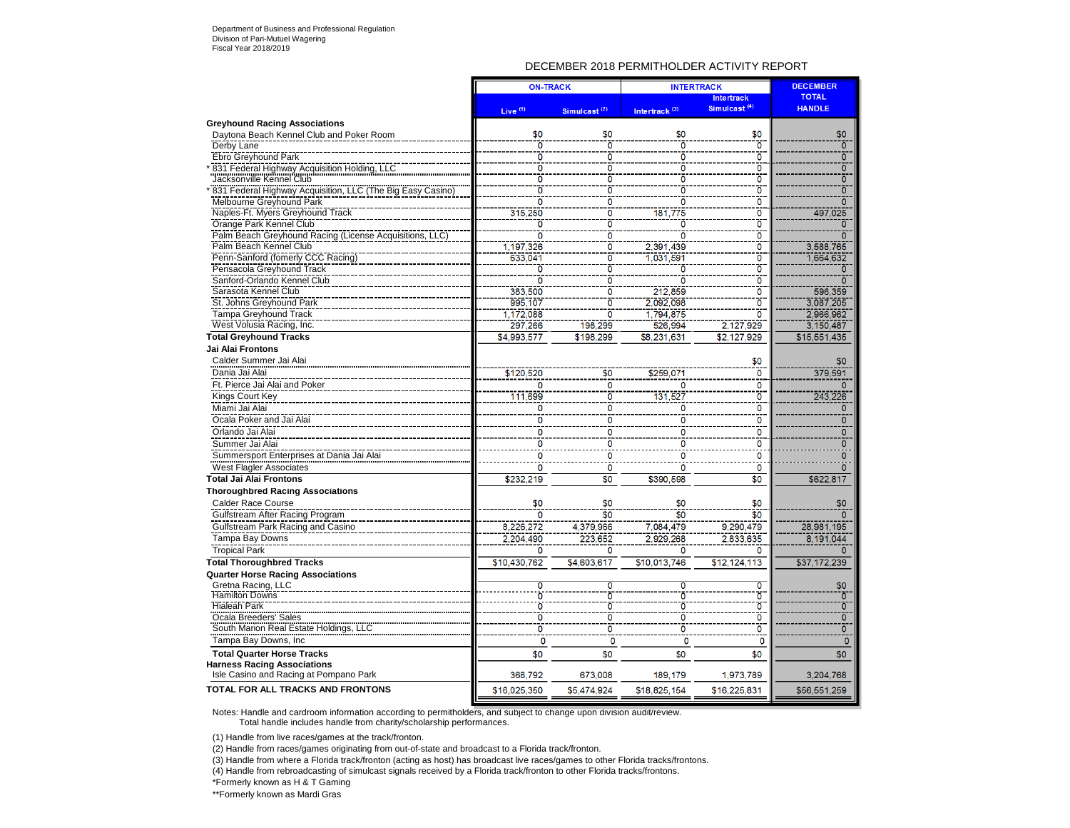### DECEMBER 2018 PERMITHOLDER ACTIVITY REPORT

|                                                            | <b>ON-TRACK</b>         |                           |                           | <b>INTERTRACK</b>        | <b>DECEMBER</b> |
|------------------------------------------------------------|-------------------------|---------------------------|---------------------------|--------------------------|-----------------|
|                                                            |                         |                           |                           | <b>Intertrack</b>        | <b>TOTAL</b>    |
|                                                            | Live $(1)$              | Simulcast <sup>(2)</sup>  | Intertrack <sup>(3)</sup> | Simulcast <sup>(4)</sup> | <b>HANDLE</b>   |
| <b>Greyhound Racing Associations</b>                       |                         |                           |                           |                          |                 |
| Daytona Beach Kennel Club and Poker Room                   | \$0                     | \$0                       | \$0                       | \$0                      | \$0             |
| Derby Lane                                                 | $\overline{0}$          | $\overline{0}$            | $\overline{0}$            | $\overline{0}$           | $\overline{0}$  |
| Ebro Greyhound Park                                        | $\overline{0}$          | $\overline{0}$            | Ō                         | ō                        | $\overline{0}$  |
| 831 Federal Highway Acquisition Holding, LLC               | $\overline{0}$          | $\overline{0}$            | 0                         | $\overline{0}$           | $\overline{0}$  |
| Jacksonville Kennel Club                                   | $\overline{\mathbf{0}}$ | $\overline{0}$            | ō                         | $\overline{0}$           | $\overline{0}$  |
| "831 Federal Highway Acquisition, LLC (The Big Easy Casino | ō                       | ō                         | n                         | ō                        | $\overline{0}$  |
| Melbourne Greyhound Park                                   | ö                       | ō                         | o                         | $\overline{0}$           | $\overline{0}$  |
| Naples-Ft. Myers Greyhound Track                           | 315,250                 | $\overline{0}$            | 181,775                   | ö                        | 497,025         |
| Orange Park Kennel Club                                    | $\overline{0}$          | $\overline{0}$            | ō                         | ō                        | $\overline{0}$  |
| Palm Beach Greyhound Racing (License Acquisitions, LLC)    | Ō                       | $\overline{\mathbf{0}}$   | O                         | $\overline{\mathbf{0}}$  | $\overline{0}$  |
| Palm Beach Kennel Club                                     | 1,197,326               | $\overline{0}$            | 2,391,439                 | ō                        | 3,588,765       |
| Penn-Sanford (fomerly CCC Racing)                          | 633,041                 | $\overline{0}$            | 1.031.591                 | $\ddot{o}$               | 1.664.632       |
| Pensacola Greyhound Track                                  | 0                       | ō                         |                           | ö                        | $\Omega$        |
| Sanford-Orlando Kennel Club                                | $\overline{0}$          | $\overline{0}$            |                           | ö                        | $\overline{0}$  |
| Sarasota Kennel Club                                       | 383.500                 | ō                         | 212.859                   | $\overline{\mathbf{0}}$  | 596,359         |
| St. Johns Greyhound Park                                   | 995,107                 | Ō                         | 2.092.098                 | $\overline{0}$           | 3.087.205       |
| <b>Tampa Greyhound Track</b>                               | 1,172,088               | $\overline{0}$            | 1.794.875                 | ō                        | 2,966,962       |
| West Volusia Racing, Inc.                                  | 297.266                 | 198.299                   | 526.994                   | 2,127,929                | 3,150,487       |
| <b>Total Greyhound Tracks</b>                              | \$4,993,577             | \$198,299                 | \$8.231.631               | \$2,127.929              | \$15,551,435    |
| Jai Alai Frontons                                          |                         |                           |                           |                          |                 |
|                                                            |                         |                           |                           |                          |                 |
| Calder Summer Jai Alai                                     |                         |                           |                           | \$0                      | \$0             |
| Dania Jai Alai                                             | \$120,520               | \$0                       | \$259,071                 | 0                        | 379,591         |
| Ft. Pierce Jai Alai and Poker                              |                         | $\overline{0}$            |                           | $\mathbf 0$              |                 |
| Kings Court Key                                            | 111.699                 | $\overline{\overline{0}}$ | 131,527                   | $\overline{\mathbf{0}}$  | 243,226         |
| Miami Jai Alai                                             | 0                       | $\mathbf 0$               | o                         | $\mathbf 0$              | $\Omega$        |
| Ocala Poker and Jai Alai                                   | $\overline{0}$          | $\overline{0}$            | 0                         | $\overline{0}$           | $\Omega$        |
| Orlando Jai Alai                                           | 0                       | $\mathbf 0$               | 0                         | 0                        | $\mathbf{0}$    |
| Summer Jai Alai                                            | $\mathbf 0$             | $\mathbf 0$               | n                         | $\mathbf 0$              | $\Omega$        |
| Summersport Enterprises at Dania Jai Alai                  | $\Omega$                | $\mathbf{0}$              | 0                         | 0                        | 0               |
| <b>West Flagler Associates</b>                             | $\overline{0}$          | $\ddot{\mathbf{0}}$       | $\mathbf 0$               | $\ddot{\mathbf{0}}$      | $\Omega$        |
| <b>Total Jai Alai Frontons</b>                             | \$232.219               | \$0                       | \$390.598                 | \$0                      | \$622,817       |
| <b>Thoroughbred Racing Associations</b>                    |                         |                           |                           |                          |                 |
|                                                            |                         |                           |                           |                          |                 |
| <b>Calder Race Course</b>                                  | \$0                     | \$0<br>$\overline{\$0}$   | \$0<br>\$0                | \$0                      | \$0             |
| Gulfstream After Racing Program                            | $\Omega$                |                           |                           | \$0                      | $\Omega$        |
| Gulfstream Park Racing and Casino                          | 8,226,272               | 4,379,966                 | 7,084,479                 | 9.290.479                | 28,981,195      |
| Tampa Bay Downs                                            | 2,204,490               | 223.652                   | 2,929,268                 | 2.833.635                | 8.191.044       |
| <b>Tropical Park</b>                                       | $\mathbf 0$             | $\mathbf{0}$              | n                         | $\Omega$                 |                 |
| <b>Total Thoroughbred Tracks</b>                           | \$10,430,762            | \$4,603,617               | \$10.013.746              | \$12.124.113             | \$37,172,239    |
| <b>Quarter Horse Racing Associations</b>                   |                         |                           |                           |                          |                 |
| Gretna Racing, LLC                                         | $\overline{0}$          | $\overline{\mathbf{0}}$   | n                         | $\overline{\mathbf{o}}$  | \$0             |
| <b>Hamilton Downs</b>                                      |                         | $\overline{0}$            |                           | $\overline{0}$           | $\overline{0}$  |
| <b>Hialeah Park</b>                                        | Ò                       | $\overline{0}$            | ō                         | $\overline{\mathbf{0}}$  | $\overline{0}$  |
| Ocala Breeders' Sales                                      | ō                       | ō                         | ō                         | ö                        | $\overline{0}$  |
| South Marion Real Estate Holdings, LLC                     | $\overline{0}$          | ō                         | Ō                         | ö                        | $\overline{0}$  |
| Tampa Bay Downs, Inc                                       | $\mathbf 0$             | $\mathbf 0$               | $\mathbf 0$               | $\mathbf 0$              | $\mathbf{0}$    |
| <b>Total Quarter Horse Tracks</b>                          | \$0                     | \$0                       | \$0                       | \$0                      | \$0             |
| <b>Harness Racing Associations</b>                         |                         |                           |                           |                          |                 |
| Isle Casino and Racing at Pompano Park                     | 368.792                 | 673.008                   | 189.179                   | 1,973,789                | 3,204,768       |
|                                                            |                         |                           |                           |                          |                 |
| <b>TOTAL FOR ALL TRACKS AND FRONTONS</b>                   | \$16.025.350            | \$5.474.924               | \$18,825,154              | \$16,225,831             | \$56,551,259    |

Notes: Handle and cardroom information according to permitholders, and subject to change upon division audit/review. Total handle includes handle from charity/scholarship performances.

(1) Handle from live races/games at the track/fronton.

(2) Handle from races/games originating from out-of-state and broadcast to a Florida track/fronton.

(3) Handle from where a Florida track/fronton (acting as host) has broadcast live races/games to other Florida tracks/frontons.

(4) Handle from rebroadcasting of simulcast signals received by a Florida track/fronton to other Florida tracks/frontons.

\*Formerly known as H & T Gaming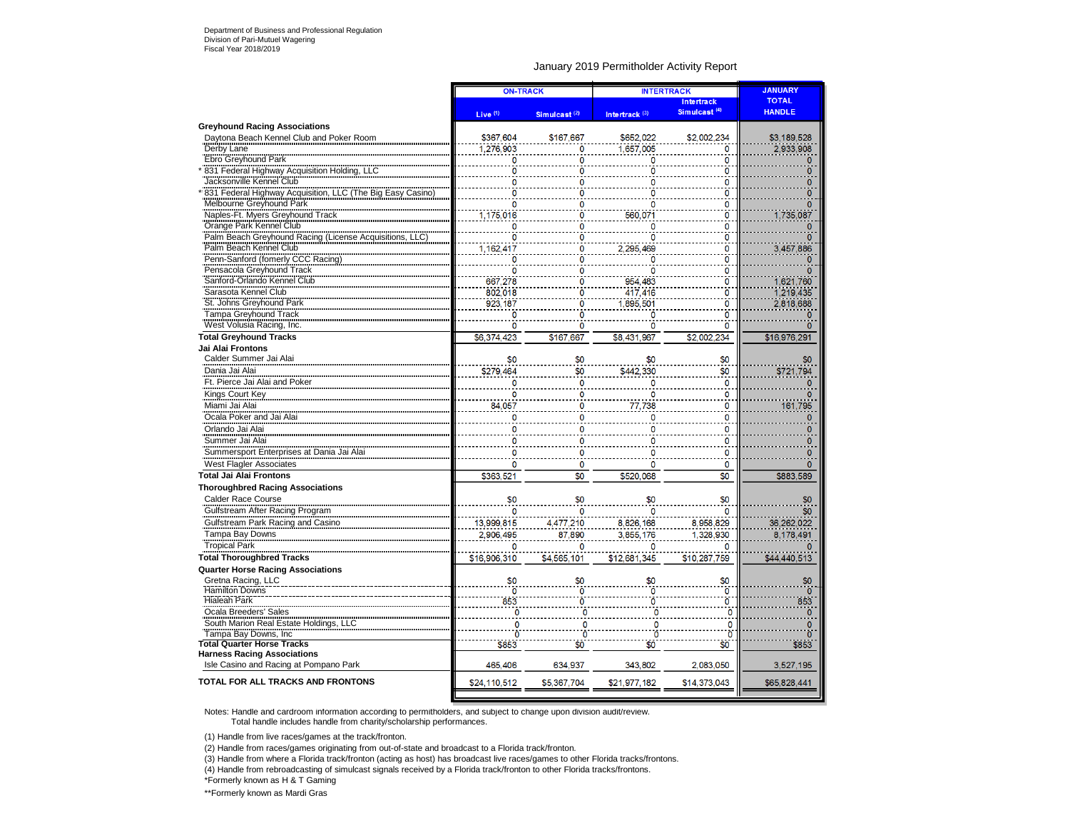### January 2019 Permitholder Activity Report

|                                                                                                                                              | <b>ON-TRACK</b> |                          |                           | <b>INTERTRACK</b>        | <b>JANUARY</b>          |
|----------------------------------------------------------------------------------------------------------------------------------------------|-----------------|--------------------------|---------------------------|--------------------------|-------------------------|
|                                                                                                                                              |                 |                          |                           | <b>Intertrack</b>        | <b>TOTAL</b>            |
|                                                                                                                                              | Live $(1)$      | Simulcast <sup>(2)</sup> | Intertrack <sup>(3)</sup> | Simulcast <sup>(4)</sup> | <b>HANDLE</b>           |
| <b>Greyhound Racing Associations</b>                                                                                                         |                 |                          |                           |                          |                         |
| Davtona Beach Kennel Club and Poker Room                                                                                                     | \$367,604       | \$167,667                | \$652.022                 | \$2,002,234              | \$3,189,528             |
| Derby Lane                                                                                                                                   | 1.276.903       | 0                        | 1.657.005                 | 0                        | 2.933.908               |
| Ebro Greyhound Park                                                                                                                          | 0               | 0                        | 0                         | 0                        |                         |
| 831 Federal Highway Acquisition Holding, LLC                                                                                                 | ö               | ö                        | 0                         | ö                        | n                       |
| Jacksonville Kennel Club                                                                                                                     | 0               | 0                        | 0                         | 0                        | $\Omega$                |
| 831 Federal Highway Acquisition, LLC (The Big Easy Casino)                                                                                   | 0               | Ō                        | 0                         | 0                        |                         |
| Melbourne Greyhound Park                                                                                                                     | 0               | 0                        | 0                         | 0                        | 0                       |
| Naples-Ft. Myers Greyhound Track                                                                                                             | 1,175,016       | Ō                        | 560.071                   | ö                        | 1,735,087               |
| Orange Park Kennel Club                                                                                                                      | 0               | 0                        | $\mathbf{0}$              | 0                        |                         |
| Palm Beach Greyhound Racing (License Acquisitions, LLC)<br>Palm Beach Greyhound Racing (License Acquisitions, LLC)<br>Palm Beach Kennel Club | 0               | ö                        | Ö                         | ö                        | n                       |
|                                                                                                                                              | 1,162,417       | 0                        | 2.295.469                 | 0                        | 3,457,886               |
| Penn-Sanford (fomerly CCC Racing)                                                                                                            | Ö               | ō                        | $\Omega$                  | $\overline{0}$           |                         |
| Pensacola Greyhound Track<br>Sanford-Orlando Kennel Club                                                                                     | $\mathbf 0$     | 0                        | 0                         | 0                        |                         |
|                                                                                                                                              | 667,278         | 0                        | 954.483                   | ō                        | 1,621,760               |
| Sarasota Kennel Club                                                                                                                         | 802,018         | Ō                        | 417,416                   | 0                        | 1,219,435               |
| St. Johns Greyhound Park                                                                                                                     | 923, 187        | ö                        | 1,895,501                 | ö                        | 2,818,688               |
| Tampa Greyhound Track                                                                                                                        | $\Omega$        | 0                        | $\Omega$                  | 0                        | $\Omega$                |
| West Volusia Racing, Inc.                                                                                                                    | 0               | 0                        | $\Omega$                  | 0                        | n                       |
| <b>Total Greyhound Tracks</b>                                                                                                                | \$6,374,423     | \$167,667                | \$8,431,967               | \$2,002,234              | \$16,976,291            |
| Jai Alai Frontons                                                                                                                            |                 |                          |                           |                          |                         |
| Calder Summer Jai Alai                                                                                                                       | \$0             | \$0                      | \$0                       | \$0                      | \$0                     |
| Dania Jai Alai                                                                                                                               | \$279,464       | \$0                      | \$442,330                 | \$0                      | \$721,794               |
| Ft. Pierce Jai Alai and Poker                                                                                                                | 0               | 0                        | 0                         | 0                        | Ω                       |
| Kings Court Key<br>Miami Jai Alai                                                                                                            | 0               | 0                        | 0                         | 0                        | $\mathbf 0$             |
|                                                                                                                                              | 84,057          | 0                        | 77,738                    | 0                        | 161,795                 |
| Ocala Poker and Jai Alai                                                                                                                     | 0               | 0                        | 0                         | 0                        | $\Omega$                |
| Orlando Jai Alai                                                                                                                             | $\mathbf{0}$    | 0                        | $\mathbf{0}$              | 0                        | $\Omega$                |
| Shango daryddin<br>Summer Jai Alai                                                                                                           | 0               | 0                        | 0                         | 0                        | $\Omega$                |
| Summersport Enterprises at Dania Jai Alai                                                                                                    | $\mathbf 0$     | 0                        | 0                         | 0                        | 0                       |
| <b>West Flagler Associates</b>                                                                                                               | 0               | 0                        | 0                         | 0                        | $\mathbf{0}$            |
| <b>Total Jai Alai Frontons</b>                                                                                                               | \$363.521       | \$0                      | \$520.068                 | \$0                      | \$883.589               |
| <b>Thoroughbred Racing Associations</b>                                                                                                      |                 |                          |                           |                          |                         |
| Calder Race Course                                                                                                                           | \$0             | \$0                      | \$0                       | \$0                      | \$0                     |
| Gulfstream After Racing Program                                                                                                              | n               | n                        | $\Omega$                  | 0                        | \$0                     |
| Gulfstream Park Racing and Casino                                                                                                            | 13,999,815      | 4,477,210                | 8,826,168                 | 8,958,829                | 36,262,022              |
|                                                                                                                                              | 2,906,495       | 87,890                   | 3,855,176                 | 1,328,930                | 8,178,491               |
| Tampa Bay Downs<br>Tropical Park                                                                                                             | 0               | 0                        | $\mathbf{0}$              | 0                        | $\Omega$                |
| <b>Total Thoroughbred Tracks</b>                                                                                                             | \$16,906,310    | \$4,565,101              | \$12,681,345              | \$10,287,759             | \$44,440,513            |
| <b>Quarter Horse Racing Associations</b>                                                                                                     |                 |                          |                           |                          |                         |
| Gretna Racing, LLC                                                                                                                           | \$0             | \$0                      | \$0                       | \$0                      | \$0                     |
| <b>Hamilton Downs</b>                                                                                                                        | ö               | 0                        | Ö                         | ö                        | ö                       |
| <b>Hialeah Park</b>                                                                                                                          | 853             | ō                        | Ö                         | ö                        | 853                     |
| Ocala Breeders' Sales                                                                                                                        | $\mathbf{0}$    | $\overline{0}$           | 0                         | O                        | $\overline{\mathbf{0}}$ |
| South Marion Real Estate Holdings, LLC                                                                                                       | $\mathbf 0$     | $\mathbf 0$              | 0                         | 0                        | 0                       |
| Tampa Bay Downs, Inc.                                                                                                                        | Ō               | Ō                        | n                         | $\overline{0}$           | Ō                       |
| <b>Total Quarter Horse Tracks</b>                                                                                                            | \$853           | \$0                      | \$0                       | \$0                      | \$853                   |
| <b>Harness Racing Associations</b>                                                                                                           |                 |                          |                           |                          |                         |
| Isle Casino and Racing at Pompano Park                                                                                                       | 465,406         | 634,937                  | 343,802                   | 2,083,050                | 3,527,195               |
| <b>TOTAL FOR ALL TRACKS AND FRONTONS</b>                                                                                                     | \$24,110,512    | \$5,367,704              | \$21,977,182              | \$14,373,043             | \$65,828,441            |
|                                                                                                                                              |                 |                          |                           |                          |                         |

Notes: Handle and cardroom information according to permitholders, and subject to change upon division audit/review. Total handle includes handle from charity/scholarship performances.

(1) Handle from live races/games at the track/fronton.

(2) Handle from races/games originating from out-of-state and broadcast to a Florida track/fronton.

(3) Handle from where a Florida track/fronton (acting as host) has broadcast live races/games to other Florida tracks/frontons.

(4) Handle from rebroadcasting of simulcast signals received by a Florida track/fronton to other Florida tracks/frontons.

\*Formerly known as H & T Gaming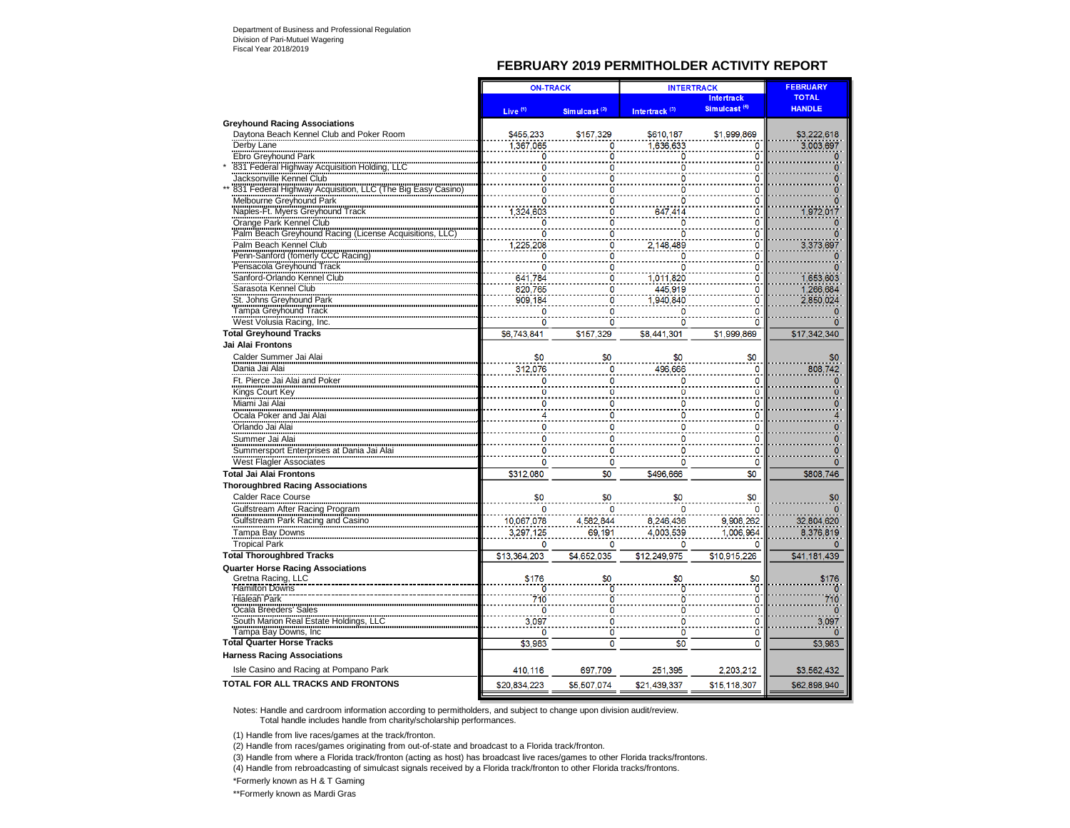### **FEBRUARY 2019 PERMITHOLDER ACTIVITY REPORT**

|                                                                                                                          | <b>ON-TRACK</b>     |                          |                           | <b>FEBRUARY</b><br><b>INTERTRACK</b> |               |
|--------------------------------------------------------------------------------------------------------------------------|---------------------|--------------------------|---------------------------|--------------------------------------|---------------|
|                                                                                                                          |                     |                          |                           | <b>Intertrack</b>                    | <b>TOTAL</b>  |
|                                                                                                                          | Live <sup>(1)</sup> | Simulcast <sup>(2)</sup> | Intertrack <sup>(3)</sup> | Simulcast <sup>(4)</sup>             | <b>HANDLE</b> |
| <b>Greyhound Racing Associations</b>                                                                                     |                     |                          |                           |                                      |               |
| Davtona Beach Kennel Club and Poker Room                                                                                 | \$455,233           | \$157,329                | \$610,187                 | \$1,999,869                          | \$3,222,618   |
| Derby Lane                                                                                                               | 1,367,065           | 0                        | 1,636,633                 | 0                                    | 3,003,697     |
| Ebro Greyhound Park                                                                                                      | 0                   | 0                        | 0                         | ö                                    |               |
| 831 Federal Highway Acquisition Holding, LLC<br>831 Federal Highway Acquisition Holding, LLC<br>Jacksonville Kennel Club | 0                   | 0                        | ö                         | 0                                    | n             |
|                                                                                                                          | 0                   | O                        |                           | 0                                    |               |
| 831 Federal Highway Acquisition, LLC (The Big Easy Casino)                                                               | 0                   | 0                        | n                         | 0                                    |               |
| Melbourne Greyhound Park                                                                                                 | 0                   | 0                        | 0                         | 0                                    |               |
| Naples-Ft. Myers Greyhound Track                                                                                         | 1,324,603           | 0                        | 647,414                   | 0                                    | 1,972,017     |
| Orange Park Kennel Club                                                                                                  | 0                   | 0                        | Ō                         | Ö                                    | o             |
| Palm Beach Greyhound Racing (License Acquisitions, I                                                                     | Ö                   | ö                        | ö                         | ö                                    | ö             |
| Palm Beach Kennel Club<br>Penn-Sanford (fomerly CCC Racing)                                                              | 1,225,208           | $\mathbf 0$              | 2,148,489                 | $\mathbf 0$                          | 3,373,697     |
| Pensacola Grevhound Track                                                                                                | 0                   | 0                        | O                         | ö                                    |               |
| Sanford-Orlando Kennel Club                                                                                              | 0<br>641,784        | 0<br>Ö                   | 0<br>1,011,820            | 0<br>ö                               | 1,653,603     |
| Sarasota Kennel Club                                                                                                     |                     |                          |                           |                                      |               |
| St. Johns Greyhound Park                                                                                                 | 820,765<br>909,184  | 0<br>0                   | 445,919<br>940.840        | 0<br>$\overline{0}$                  | 1,266,684     |
| Tampa Greyhound Track                                                                                                    | Ò                   | Ő                        |                           | Ō                                    | 2,850,024     |
| West Volusia Racing, Inc.                                                                                                | 0                   | 0                        | n                         | 0                                    | n             |
| <b>Total Greyhound Tracks</b>                                                                                            | \$6,743,841         | \$157,329                | \$8,441,301               | \$1,999,869                          | \$17,342,340  |
| Jai Alai Frontons                                                                                                        |                     |                          |                           |                                      |               |
|                                                                                                                          |                     |                          |                           |                                      |               |
| Calder Summer Jai Alai                                                                                                   | \$0                 | \$0                      | \$0                       | \$0                                  | \$0           |
| Dania Jai Alai                                                                                                           | 312,076             | 0                        | 496,666                   | 0                                    | 808,742       |
| Ft. Pierce Jai Alai and Poker                                                                                            | 0                   | $\mathbf{0}$             | 0                         | Ō                                    | n             |
| Kings Court Key                                                                                                          | Ω                   | Ω                        |                           | Ω                                    |               |
| Miami Jai Alai                                                                                                           | n                   | 0                        | n                         | ٥                                    |               |
| Ocala Poker and Jai Alai                                                                                                 |                     | 0                        |                           | 0                                    |               |
| Orlando Jai Alai                                                                                                         |                     | 0                        |                           | 0                                    |               |
| Summer Jai Alai                                                                                                          | 0                   | 0                        |                           | 0                                    |               |
| Summersport Enterprises at Dania Jai Ala                                                                                 | 0                   | 0                        | O                         | 0                                    |               |
| West Flagler Associates                                                                                                  | 0                   | 0                        | n                         | 0                                    | 0             |
| <b>Total Jai Alai Frontons</b>                                                                                           | \$312,080           | \$0                      | \$496,666                 | \$0                                  | \$808,746     |
| <b>Thoroughbred Racing Associations</b>                                                                                  |                     |                          |                           |                                      |               |
| <b>Calder Race Course</b>                                                                                                | \$0                 | \$0                      | \$0                       | \$0                                  | \$0           |
| Gulfstream After Racing Program                                                                                          | n                   | 0                        |                           |                                      |               |
| Gulfstream Park Racing and Casino                                                                                        | 10,067,078          | 4,582,844                | 8,246,436                 | 9,908,262                            | 32,804,620    |
| Tampa Bay Downs                                                                                                          | 3,297,125           | 69,191                   | 4,003,539                 | 1,006,964                            | 8,376,819     |
| <b>Tropical Park</b>                                                                                                     | 0                   | 0                        | $\overline{0}$            | 0                                    |               |
| <b>Total Thoroughbred Tracks</b>                                                                                         | \$13,364,203        | \$4,652,035              | \$12,249,975              | \$10,915,226                         | \$41,181,439  |
| <b>Quarter Horse Racing Associations</b>                                                                                 |                     |                          |                           |                                      |               |
| Gretna Racing, LLC                                                                                                       | \$176               | \$0                      | \$0                       | \$0                                  | \$176         |
| <b>Hamilton Downs</b>                                                                                                    |                     | O                        |                           | ö                                    |               |
| <b>Hialeah Park</b>                                                                                                      | 710                 | ō                        | ٥                         | ö                                    | 710           |
| Ocala Breeders' Sales                                                                                                    | $\mathbf{0}$        | 0                        | O                         | 0                                    | $\Omega$      |
| South Marion Real Estate Holdings, LLC                                                                                   | 3,097               | $\overline{0}$           | ö                         | ö                                    | 3,097         |
| Tampa Bay Downs, Inc.                                                                                                    | 0                   | ö                        | 0                         | Ö                                    | $\Omega$      |
| <b>Total Quarter Horse Tracks</b>                                                                                        | \$3,983             | Ō                        | \$0                       | Ō                                    | \$3,983       |
| <b>Harness Racing Associations</b>                                                                                       |                     |                          |                           |                                      |               |
| Isle Casino and Racing at Pompano Park                                                                                   | 410,116             | 697,709                  | 251,395                   | 2,203,212                            | \$3,562,432   |
| <b>TOTAL FOR ALL TRACKS AND FRONTONS</b>                                                                                 | \$20,834,223        | \$5,507,074              | \$21,439,337              | \$15,118,307                         | \$62,898,940  |

Notes: Handle and cardroom information according to permitholders, and subject to change upon division audit/review. Total handle includes handle from charity/scholarship performances.

(1) Handle from live races/games at the track/fronton.

(2) Handle from races/games originating from out-of-state and broadcast to a Florida track/fronton.

(3) Handle from where a Florida track/fronton (acting as host) has broadcast live races/games to other Florida tracks/frontons.

(4) Handle from rebroadcasting of simulcast signals received by a Florida track/fronton to other Florida tracks/frontons.

\*Formerly known as H & T Gaming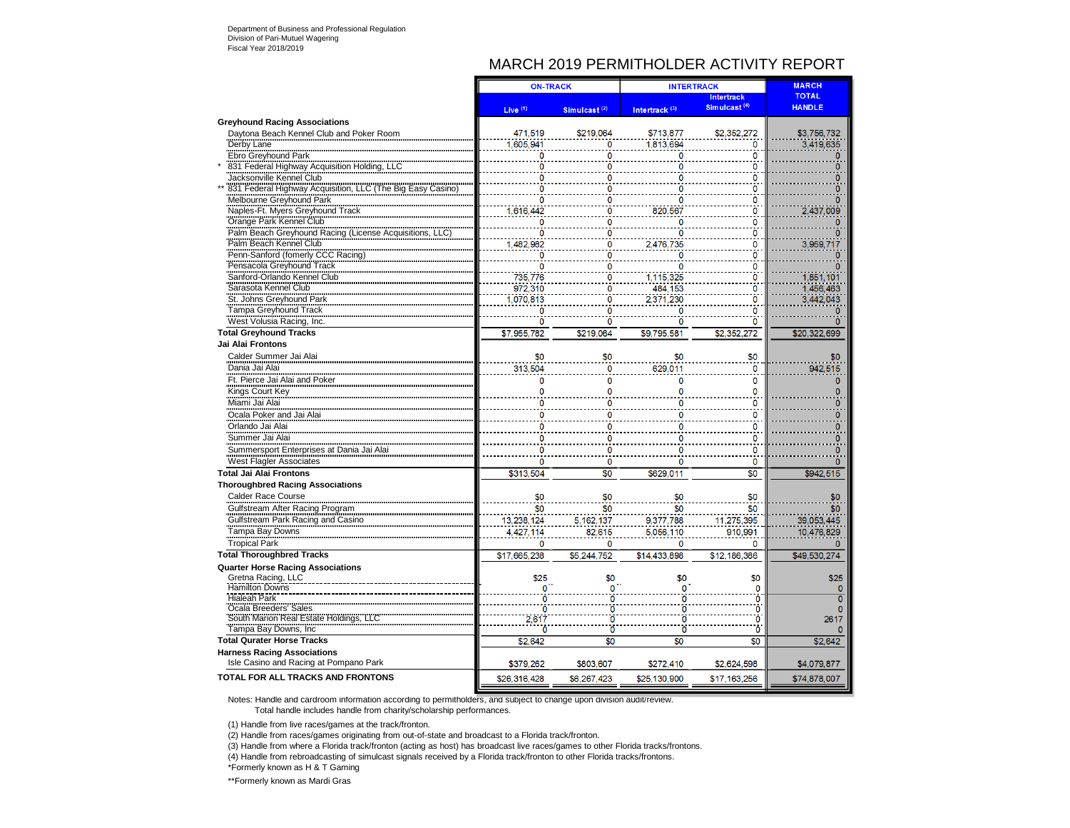## MARCH 2019 PERMITHOLDER ACTIVITY REPORT

|                                                            |               | <b>ON-TRACK</b>          |                           | <b>MARCH</b><br><b>INTERTRACK</b>             |                               |
|------------------------------------------------------------|---------------|--------------------------|---------------------------|-----------------------------------------------|-------------------------------|
|                                                            | Live $(1)$    | Simulcast <sup>(2)</sup> | Intertrack <sup>(3)</sup> | <b>Intertrack</b><br>Simulcast <sup>(4)</sup> | <b>TOTAL</b><br><b>HANDLE</b> |
| <b>Greyhound Racing Associations</b>                       |               |                          |                           |                                               |                               |
| Daytona Beach Kennel Club and Poker Room                   | 471,519       | \$219,064                | \$713,877                 | \$2,352,272                                   | \$3,756,732                   |
| Derby Lane                                                 | 605,941       | 0                        | 1,813,694                 | 0                                             | 3,419,635                     |
| Ebro Greyhound Park                                        | 0             | 0                        | o                         | 0                                             |                               |
| 831 Federal Highway Acquisition Holding, LLC               | Ō             | $\mathbf 0$              | 0                         | $\Omega$                                      | n                             |
| Jacksonville Kennel Club                                   | ٥             | ٥                        |                           | 0                                             |                               |
| 831 Federal Highway Acquisition, LLC (The Big Easy Casino) | 0             | 0                        | o                         | 0                                             |                               |
| Melbourne Greyhound Park                                   | $\mathbf 0$   | $\mathbf 0$              | 0                         | 0                                             |                               |
| Naples-Ft. Myers Greyhound Track                           | 1,616,442     |                          | 820,567                   | 0                                             | 2,437,009                     |
| Orange Park Kennel Club                                    | 0             | ٥                        | 0                         | 0                                             |                               |
| Palm Beach Greyhound Racing (License Acquisitions,         | 0             | Ω                        | 0                         | 0                                             |                               |
| Palm Beach Kennel Club                                     | ,482,982      | 0                        | 2,476,735                 | $\mathbf{0}$                                  | 3,959,717                     |
| Penn-Sanford (fomerly CCC Racing)                          | Ō             | Ö                        | 0                         | Ō                                             |                               |
| Pensacola Greyhound Track                                  | 0             | ٥                        | O                         | 0                                             |                               |
| Sanford-Orlando Kennel Club                                | 735,776       | 0                        | 1,115,325                 | 0                                             | 1,851,101                     |
| Sarasota Kennel Club                                       | 972,310       | ö                        | 484,153                   | $\ddot{\mathbf{0}}$                           | 1,456,463                     |
| St. Johns Greyhound Park                                   | 1.070.813     | ٥                        | 2.371.230                 | ö                                             | 3.442.043                     |
| Tampa Greyhound Track                                      | 0             | 0                        | 0                         | 0                                             |                               |
| West Volusia Racing, Inc.                                  | $\mathbf 0$   | ö                        | 0                         | $\ddot{\mathbf{0}}$                           | o                             |
| <b>Total Greyhound Tracks</b>                              | \$7,955,782   | \$219,064                | \$9,795,581               | \$2,352,272                                   | \$20,322,699                  |
| Jai Alai Frontons                                          |               |                          |                           |                                               |                               |
| Calder Summer Jai Alai                                     | \$0           | \$0                      | \$0                       | \$0                                           | \$0                           |
| Dania Jai Alai                                             | 313,504       | 0                        | 629,011                   | 0                                             | 942,515                       |
| Ft. Pierce Jai Alai and Poker                              | $\mathbf 0$   | 0                        | 0                         | $\mathbf 0$                                   | $\Omega$                      |
| Kings Court Key                                            | $\mathbf 0$   | ö                        | 0                         | 0                                             | O                             |
| Miami Jai Alai                                             | 0             | 0                        | 0                         | $\mathbf 0$                                   | 0                             |
| Ocala Poker and Jai Alai                                   | 0             | 0                        | 0                         | $\Omega$                                      | $\Omega$                      |
| Orlando Jai Alai                                           | 0             | 0                        | 0                         | 0                                             | 0                             |
| Summer Jai Alai                                            | $\mathbf 0$   | ö                        | Ō                         | $\mathbf{0}$                                  | 0                             |
| Summersport Enterprises at Dania Jai Alai                  | $\bf{0}$      | 0                        | $\mathbf 0$               | $\Omega$                                      | n                             |
| West Flagler Associates                                    | $\mathbf 0$   | ö                        | 0                         | $\mathbf 0$                                   | $\mathbf{0}$                  |
| <b>Total Jai Alai Frontons</b>                             | \$313,504     | \$0                      | \$629,011                 | \$0                                           | \$942.515                     |
| <b>Thoroughbred Racing Associations</b>                    |               |                          |                           |                                               |                               |
|                                                            |               |                          |                           |                                               |                               |
| <b>Calder Race Course</b>                                  | \$0           | \$0                      | \$0                       | \$0                                           | \$0                           |
| Gulfstream After Racing Program                            | \$0           | \$0                      | \$0                       | \$0                                           | \$0                           |
| Gulfstream Park Racing and Casino                          | 13,238,124    | 5, 162, 137              | 9,377,788                 | 11,275,395                                    | 39,053,445                    |
| Tampa Bay Downs                                            | 4.427.114     | 82,615                   | 5.056.110                 | 910.991                                       | 10,476,829                    |
| Tropical Park                                              | 0             | 0                        | 0                         | $\Omega$                                      |                               |
| <b>Total Thoroughbred Tracks</b>                           | \$17,665,238  | \$5,244,752              | \$14,433,898              | \$12,186,386                                  | \$49,530,274                  |
| <b>Quarter Horse Racing Associations</b>                   |               |                          |                           |                                               |                               |
| Gretna Racing, LLC                                         | \$25          | \$0                      | \$0                       | \$0                                           | \$25                          |
| <b>Hamilton Downs</b><br><b>Hialeah Park</b>               | $\Omega$<br>ö | $\Omega$<br>ö            | $\Omega$                  | 0<br>$\ddot{\mathbf{0}}$                      |                               |
| Dcala Breeders' Sales                                      |               | Ö                        | ö                         | Ö                                             | $\overline{0}$                |
| South Marion Real Estate Holdings, LLC                     | 0<br>2.617    | $\overline{0}$           | O<br>$\overline{0}$       | Ō                                             | 2617                          |
| Tampa Bay Downs, Inc.                                      |               | $\mathbf{o}$             | $\overline{0}$            | Ō                                             |                               |
| <b>Total Qurater Horse Tracks</b>                          | \$2,642       | \$0                      | \$0                       | \$0                                           | \$2,642                       |
| <b>Harness Racing Associations</b>                         |               |                          |                           |                                               |                               |
| Isle Casino and Racing at Pompano Park                     | \$379,262     | \$803,607                | \$272,410                 | \$2,624,598                                   | \$4,079,877                   |
|                                                            |               |                          |                           |                                               |                               |
| <b>TOTAL FOR ALL TRACKS AND FRONTONS</b>                   | \$26,316,428  | \$6.267.423              | \$25,130,900              | \$17.163.256                                  | \$74.878.007                  |

Notes: Handle and cardroom information according to permitholders, and subject to change upon division audit/review. Total handle includes handle from charity/scholarship performances.

(1) Handle from live races/games at the track/fronton.

(2) Handle from races/games originating from out-of-state and broadcast to a Florida track/fronton.

(3) Handle from where a Florida track/fronton (acting as host) has broadcast live races/games to other Florida tracks/frontons.

(4) Handle from rebroadcasting of simulcast signals received by a Florida track/fronton to other Florida tracks/frontons.

\*Formerly known as H & T Gaming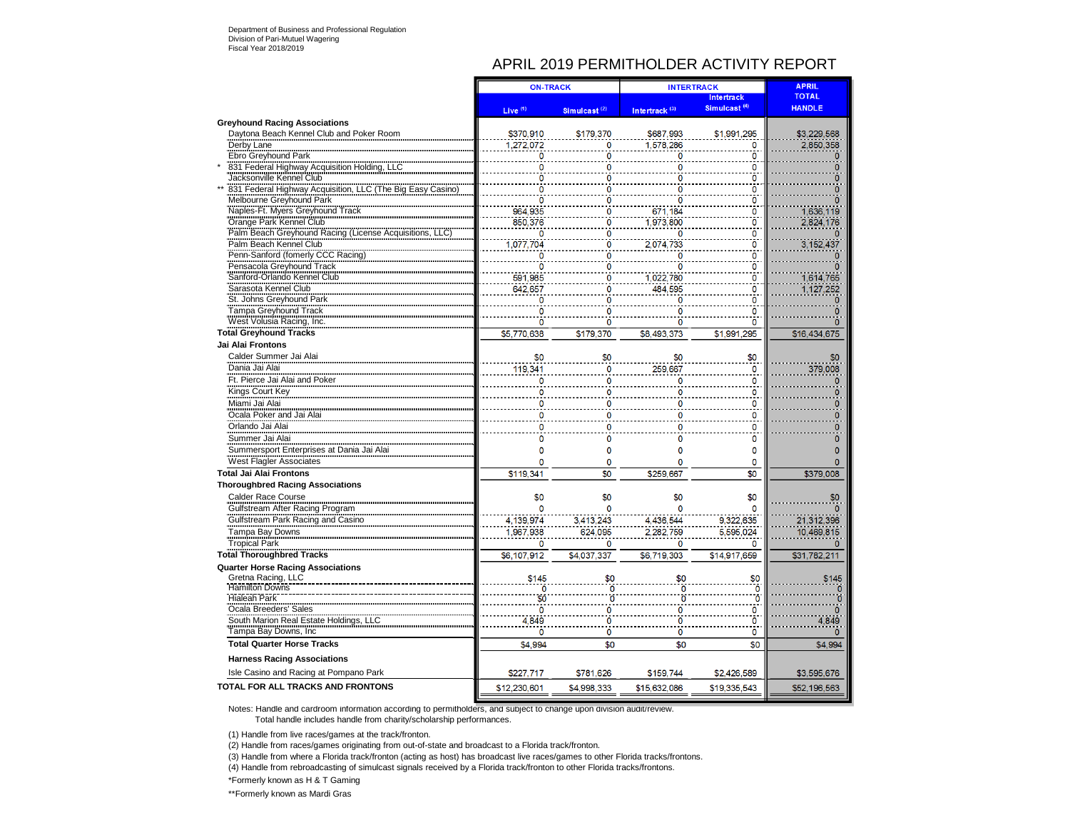## APRIL 2019 PERMITHOLDER ACTIVITY REPORT

|                                                            | <b>ON-TRACK</b>     |                          | <b>INTERTRACK</b>         |                          | <b>APRIL</b>   |
|------------------------------------------------------------|---------------------|--------------------------|---------------------------|--------------------------|----------------|
|                                                            |                     |                          |                           | <b>Intertrack</b>        | <b>TOTAL</b>   |
|                                                            | Live $(1)$          | Simulcast <sup>(2)</sup> | Intertrack <sup>(3)</sup> | Simulcast <sup>(4)</sup> | <b>HANDLE</b>  |
| <b>Greyhound Racing Associations</b>                       |                     |                          |                           |                          |                |
| Daytona Beach Kennel Club and Poker Room                   | \$370,910           | \$179,370                | \$687,993                 | \$1,991,295              | \$3,229,568    |
| Derby Lane                                                 | 1.272.072           |                          | 1.578.286                 | 0                        | 2,850,358      |
| Ebro Greyhound Park                                        |                     | O                        | ٥                         | n                        |                |
| 831 Federal Highway Acquisition Holding, LLC               | 0                   | 0                        | 0                         | 0                        | 0              |
| Jacksonville Kennel Club                                   | $\Omega$            | n                        | n                         | 0                        |                |
| 831 Federal Highway Acquisition, LLC (The Big Easy Casino) | O                   | n                        | n                         | n                        |                |
| Melbourne Greyhound Park                                   | $\ddot{\mathbf{0}}$ | ö                        | ö                         | ö                        | O              |
| Naples-Ft. Myers Greyhound Track                           | 964.935             | ٥                        | 671.184                   | 0                        | 1,636,119      |
| Orange Park Kennel Club                                    | 850,376             | $\Omega$                 | 1,973,800                 | 0                        | 2,824,176      |
| Palm Beach Greyhound Racing (License Acquisitions          | $\overline{0}$      | ö                        | Ō                         | 0                        |                |
| Palm Beach Kennel Club                                     | 1,077,704           | ö                        | 2.074.733                 | Ō                        | 3,152,437      |
| Penn-Sanford (fomerly CCC Racing)                          | $\Omega$            | 0                        | 0                         | 0                        | n              |
| Pensacola Greyhound Track                                  | $\overline{0}$      | ö                        | Õ                         | ö                        | n              |
| Sanford-Orlando Kennel Club                                | 591,985             | Ö                        | 1.022.780                 | Ō                        | 1,614,765      |
| Sarasota Kennel Club                                       | 642,657             | 0                        | 484,595                   | $\Omega$                 | 1,127,252      |
| St. Johns Greyhound Park                                   | 0                   | ٥                        | 0                         | Ō                        |                |
| Tampa Greyhound Track                                      |                     |                          |                           | 0                        |                |
| West Volusia Racing, Inc.                                  |                     |                          | n                         | n                        | n              |
| <b>Total Greyhound Tracks</b>                              | \$5,770,638         | \$179,370                | \$8,493,373               | \$1.991.295              | \$16,434,675   |
| Jai Alai Frontons                                          |                     |                          |                           |                          |                |
| Calder Summer Jai Alai                                     | \$0                 | \$0                      | \$0                       | \$0                      | \$0            |
| Dania Jai Alai                                             |                     |                          |                           | $\mathbf{0}$             |                |
|                                                            | 119.341             | 0                        | 259.667                   |                          | 379,008        |
| Ft. Pierce Jai Alai and Poker                              | 0                   | n                        | 0                         | ٥                        | 0              |
| Kings Court Key<br>Miami Jai Alai                          | $\circ$             | $\Omega$                 |                           | $\mathbf 0$              | O              |
|                                                            |                     |                          |                           | 0                        |                |
| Ocala Poker and Jai Alai                                   | O                   |                          | n                         | n                        | O              |
| Orlando Jai Alai                                           |                     |                          |                           | 0                        |                |
| Summer Jai Alai                                            | $\overline{0}$      | 0                        | 0                         | 0                        | n              |
| Summersport Enterprises at Dania Jai Alai                  | 0                   | 0                        | 0                         | $\mathbf{0}$             | $\mathbf{0}$   |
| West Flagler Associates                                    | 0                   | 0                        | o                         | $\mathbf 0$              | $\Omega$       |
| <b>Total Jai Alai Frontons</b>                             | \$119,341           | \$0                      | \$259,667                 | \$0                      | \$379,008      |
| <b>Thoroughbred Racing Associations</b>                    |                     |                          |                           |                          |                |
| <b>Calder Race Course</b>                                  | \$0                 | \$0                      | \$0                       | \$0                      | \$0            |
| Gulfstream After Racing Program                            |                     |                          |                           |                          |                |
| Gulfstream Park Racing and Casino                          | 4, 139, 974         | 3,413,243                | 4.436.544                 | 9,322,635                | 21,312,396     |
| Tampa Bay Downs                                            | 1,967,938           | 624,095                  | 2,282,759                 | 5,595,024                | 10,469,815     |
|                                                            |                     | n                        |                           | $\Omega$                 |                |
| <b>Tropical Park</b>                                       | 0                   |                          | 0                         |                          |                |
| <b>Total Thoroughbred Tracks</b>                           | \$6,107,912         | \$4,037,337              | \$6,719,303               | \$14,917,659             | \$31,782,211   |
| <b>Quarter Horse Racing Associations</b>                   |                     |                          |                           |                          |                |
| Gretna Racing, LLC                                         | \$145               | \$0                      | \$0                       | \$0                      | \$145          |
| <b>Hamilton Downs</b>                                      | ō                   | ö                        | ō                         | ō                        | $\overline{0}$ |
| <b>Hialeah Park</b>                                        | \$0                 | ö                        | ö                         | Ō                        | $\overline{0}$ |
| Ocala Breeders' Sales                                      | $\ddot{\mathbf{0}}$ | 0                        | ö                         | 0                        | n              |
| South Marion Real Estate Holdings, LLC                     | 4,849               | ö                        | ö                         | 0                        | 4.849          |
| Tampa Bay Downs, Inc.                                      | 0                   | ö                        | ö                         | $\mathbf 0$              |                |
| <b>Total Quarter Horse Tracks</b>                          | \$4,994             | \$0                      | \$0                       | \$0                      | \$4,994        |
| <b>Harness Racing Associations</b>                         |                     |                          |                           |                          |                |
| Isle Casino and Racing at Pompano Park                     | \$227,717           | \$781,626                | \$159,744                 | \$2,426,589              | \$3,595,676    |
| <b>TOTAL FOR ALL TRACKS AND FRONTONS</b>                   | \$12,230,601        | \$4,998,333              | \$15,632,086              | \$19,335,543             | \$52,196,563   |

Notes: Handle and cardroom information according to permitholders, and subject to change upon division audit/review. Total handle includes handle from charity/scholarship performances.

(1) Handle from live races/games at the track/fronton.

(2) Handle from races/games originating from out-of-state and broadcast to a Florida track/fronton.

(3) Handle from where a Florida track/fronton (acting as host) has broadcast live races/games to other Florida tracks/frontons.

(4) Handle from rebroadcasting of simulcast signals received by a Florida track/fronton to other Florida tracks/frontons.

\*Formerly known as H & T Gaming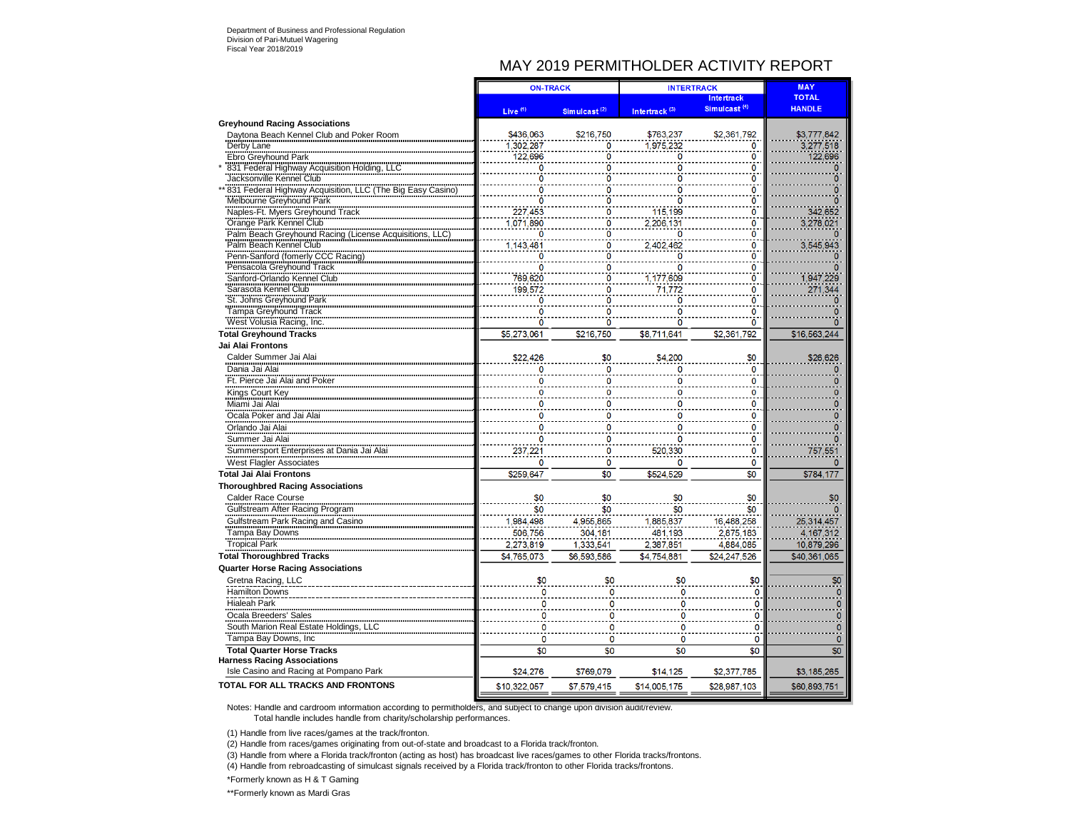## MAY 2019 PERMITHOLDER ACTIVITY REPORT

|                                                                                  | <b>ON-TRACK</b>          |                  | <b>INTERTRACK</b>         |                                 | <b>MAY</b>    |
|----------------------------------------------------------------------------------|--------------------------|------------------|---------------------------|---------------------------------|---------------|
|                                                                                  |                          |                  |                           | <b>Intertrack</b>               | <b>TOTAL</b>  |
|                                                                                  | Live <sup>(1)</sup>      | Simulcast $(2)$  | Intertrack <sup>(3)</sup> | Simulcast <sup>(4)</sup>        | <b>HANDLE</b> |
| <b>Greyhound Racing Associations</b>                                             |                          |                  |                           |                                 |               |
| Daytona Beach Kennel Club and Poker Room                                         | \$436,063                | \$216,750        | \$763,237                 | \$2,361,792                     | \$3,777,842   |
| Derby Lane                                                                       | 1,302,287                | 0                | 1,975,232                 | 0                               | 3,277,518     |
| Ebro Greyhound Park                                                              | 122,696                  | $\mathbf{0}$     | 0                         | $\mathbf 0$                     | 122,696       |
| 831 Federal Highway Acquisition Holding, LLC                                     | Ō                        | $\mathbf{o}$     | 0                         | $\ddot{\mathbf{0}}$             | $\mathbf 0$   |
| Jacksonville Kennel Club                                                         | 0                        | 0                |                           | ō                               |               |
| 831 Federal Highway Acquisition, LLC (The Big Easy Casino                        | n                        | $\overline{0}$   |                           | $\overline{0}$<br>$\frac{1}{0}$ |               |
| Melbourne Greyhound Park                                                         | Ō                        | ö                | 0                         | $\ddot{\mathbf{o}}$             |               |
| Waples-Ft. Myers Greyhound Track<br>Orange Park Kennel Club                      | 227,453                  | $\overline{0}$   | 115,199                   |                                 | 342,652       |
|                                                                                  | 1.071.890<br>Ō           | 0                | 2,206,131                 | $\mathbf 0$<br>Ö                | 3,278,021     |
| Palm Beach Greyhound Racing (License Acquisitions, LLC<br>Palm Beach Kennel Club |                          | Ö<br>$\mathbf 0$ |                           |                                 |               |
| Penn-Sanford (fomerly CCC Racing)                                                | 1,143,481<br>$\mathbf 0$ | 0                | 2,402,462<br>n            | 0                               | 3,545,943     |
| Pensacola Greyhound Track                                                        | 0                        | 0                | 0                         | $\overline{\mathbf{0}}$<br>0    |               |
| Sanford-Orlando Kennel Club                                                      | 769,620                  | ö                | 1,177,609                 | Ō                               | 1,947,229     |
| Sarasota Kennel Club                                                             | 199,572                  | 0                | 71.772                    | Ö                               | 271,344       |
| St. Johns Greyhound Park                                                         | 0                        | 0                | 0                         | 0                               | $\bf{0}$      |
| Tampa Greyhound Track                                                            |                          | $\Omega$         |                           | $\mathbf 0$                     |               |
| West Volusia Racing, Inc.                                                        | 0                        | 0                |                           | Ō                               | $\Omega$      |
| <b>Total Greyhound Tracks</b>                                                    | \$5,273,061              | \$216,750        | \$8,711,641               | \$2,361,792                     | \$16,563,244  |
| Jai Alai Frontons                                                                |                          |                  |                           |                                 |               |
| Calder Summer Jai Alai                                                           | \$22,426                 | \$0              | \$4,200                   | \$0                             | \$26,626      |
| Dania Jai Alai                                                                   | $\bf{0}$                 | $\mathbf 0$      | 0                         | $\pmb{0}$                       |               |
| Ft. Pierce Jai Alai and Poker                                                    |                          | $\mathbf 0$      |                           | 0                               |               |
|                                                                                  |                          |                  |                           | $\circ$                         |               |
| Kings Court Key                                                                  |                          | 0                |                           |                                 |               |
| Miami Jai Alai                                                                   | 0                        | 0                |                           | 0                               |               |
| Ocala Poker and Jai Alai<br>Orlando Jai Alai                                     | $\mathbf{0}$             | $\mathbf 0$      |                           | $\mathbf 0$                     | o             |
|                                                                                  |                          | 0                |                           | 0                               |               |
| Summer Jai Alai                                                                  | 0                        | 0                | 0                         | 0                               |               |
| Summersport Enterprises at Dania Jai Ala                                         | 237,221                  | 0                | 520,330                   | 0                               | 757,551       |
| <b>West Flagler Associates</b>                                                   | n                        | $\mathbf 0$      | 0                         | $\mathbf 0$                     |               |
| <b>Total Jai Alai Frontons</b>                                                   | \$259.647                | \$0              | \$524.529                 | \$0                             | \$784,177     |
| <b>Thoroughbred Racing Associations</b>                                          |                          |                  |                           |                                 |               |
| Calder Race Course                                                               | \$0                      | \$0              | \$0                       | \$0                             | \$0           |
| Gulfstream After Racing Program                                                  | \$0                      | \$0              | \$0                       | \$0                             |               |
| Gulfstream Park Racing and Casino                                                | 1.984.498                | 4,955,865        | 1,885,837                 | 16,488,258                      | 25,314,457    |
| Tampa Bay Downs                                                                  | 506,756                  | 304,181          | 481,193                   | 2,875,183                       | 4, 167, 312   |
| <b>Tropical Park</b>                                                             | 2.273.819                | 1.333.541        | 2.387,851                 | 4.884.085                       | 10.879.296    |
| <b>Total Thoroughbred Tracks</b>                                                 | \$4.765.073              | \$6.593.586      | \$4,754,881               | \$24.247.526                    | \$40,361,065  |
| <b>Quarter Horse Racing Associations</b>                                         |                          |                  |                           |                                 |               |
| Gretna Racing, LLC                                                               | \$0                      | \$0              | \$0                       | \$0                             | \$0           |
| <b>Hamilton Downs</b>                                                            | 0                        |                  |                           | 0                               |               |
| <b>Hialeah Park</b>                                                              | 0                        | n                |                           | $\mathbf 0$                     |               |
| Ocala Breeders' Sales                                                            | O                        | n                | n                         | 0                               | n             |
| South Marion Real Estate Holdings, LLC                                           | 0                        | Ω                | 0                         | 0                               |               |
| Tampa Bay Downs, Inc                                                             | $\mathbf 0$              | 0                | $\mathbf 0$               | $\mathbf 0$                     | $\mathbf 0$   |
| <b>Total Quarter Horse Tracks</b>                                                | \$0                      | \$0              | \$0                       | \$0                             | \$0           |
| <b>Harness Racing Associations</b>                                               |                          |                  |                           |                                 |               |
| Isle Casino and Racing at Pompano Park                                           | \$24,276                 | \$769,079        | \$14,125                  | \$2,377,785                     | \$3,185,265   |
| TOTAL FOR ALL TRACKS AND FRONTONS                                                | \$10,322,057             | \$7,579,415      | \$14,005,175              | \$28,987.103                    | \$60.893.751  |
|                                                                                  |                          |                  |                           |                                 |               |

Notes: Handle and cardroom information according to permitholders, and subject to change upon division audit/review. Total handle includes handle from charity/scholarship performances.

(1) Handle from live races/games at the track/fronton.

(2) Handle from races/games originating from out-of-state and broadcast to a Florida track/fronton.

(3) Handle from where a Florida track/fronton (acting as host) has broadcast live races/games to other Florida tracks/frontons.

(4) Handle from rebroadcasting of simulcast signals received by a Florida track/fronton to other Florida tracks/frontons.

\*Formerly known as H & T Gaming